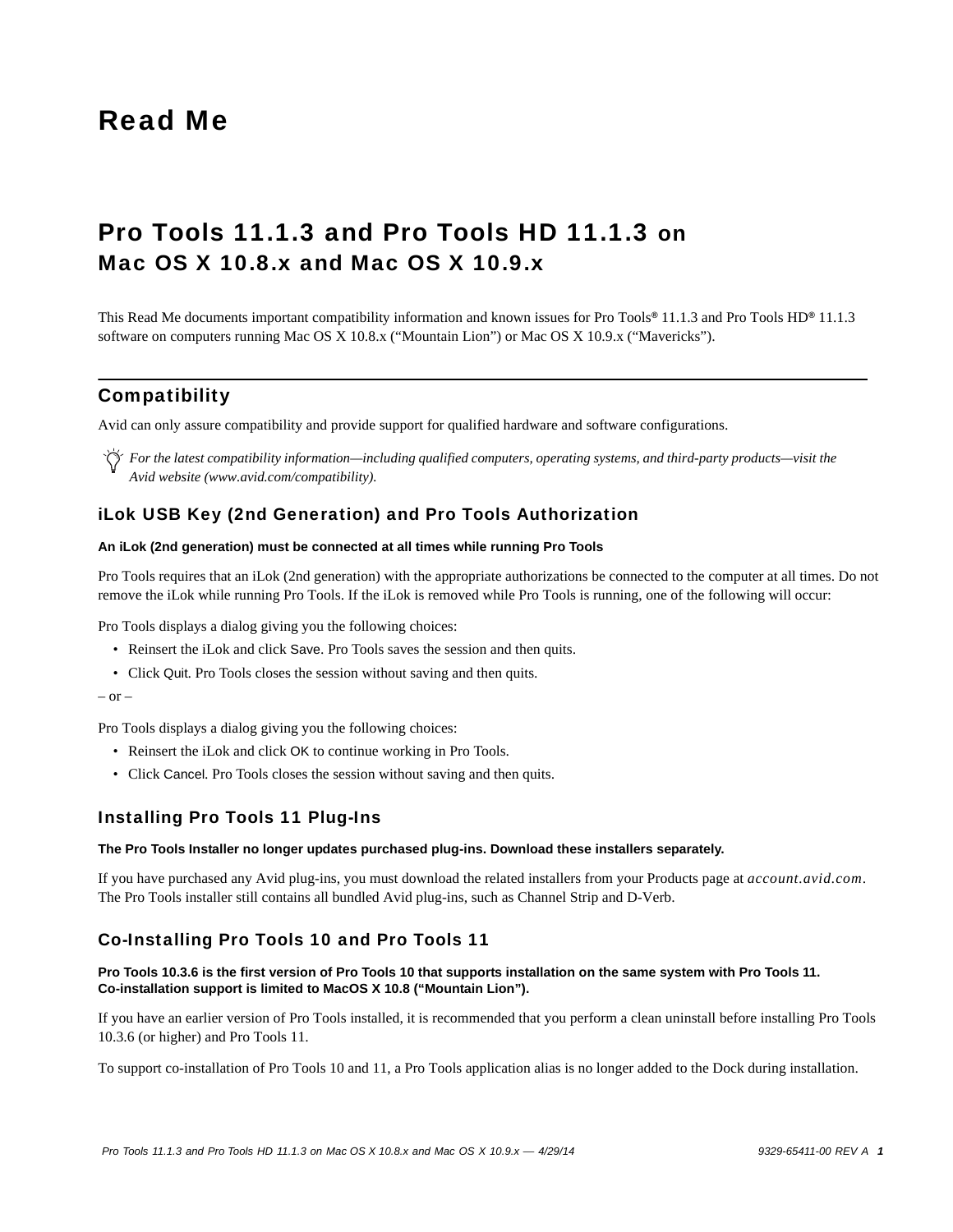# Read Me

# Pro Tools 11.1.3 and Pro Tools HD 11.1.3 on Mac OS X 10.8.x and Mac OS X 10.9.x

This Read Me documents important compatibility information and known issues for Pro Tools*®* 11.1.3 and Pro Tools HD*®* 11.1.3 software on computers running Mac OS X 10.8.x ("Mountain Lion") or Mac OS X 10.9.x ("Mavericks").

# **Compatibility**

Avid can only assure compatibility and provide support for qualified hardware and software configurations.

*For the latest compatibility information—including qualified computers, operating systems, and third-party products—visit the Avid website (www.avid.com/compatibility).*

# iLok USB Key (2nd Generation) and Pro Tools Authorization

# **An iLok (2nd generation) must be connected at all times while running Pro Tools**

Pro Tools requires that an iLok (2nd generation) with the appropriate authorizations be connected to the computer at all times. Do not remove the iLok while running Pro Tools. If the iLok is removed while Pro Tools is running, one of the following will occur:

Pro Tools displays a dialog giving you the following choices:

- Reinsert the iLok and click Save. Pro Tools saves the session and then quits.
- Click Quit. Pro Tools closes the session without saving and then quits.

```
- or -
```
Pro Tools displays a dialog giving you the following choices:

- Reinsert the iLok and click OK to continue working in Pro Tools.
- Click Cancel. Pro Tools closes the session without saving and then quits.

# Installing Pro Tools 11 Plug-Ins

#### **The Pro Tools Installer no longer updates purchased plug-ins. Download these installers separately.**

If you have purchased any Avid plug-ins, you must download the related installers from your Products page at *account.avid.com*. The Pro Tools installer still contains all bundled Avid plug-ins, such as Channel Strip and D-Verb.

# Co-Installing Pro Tools 10 and Pro Tools 11

# **Pro Tools 10.3.6 is the first version of Pro Tools 10 that supports installation on the same system with Pro Tools 11. Co-installation support is limited to MacOS X 10.8 ("Mountain Lion").**

If you have an earlier version of Pro Tools installed, it is recommended that you perform a clean uninstall before installing Pro Tools 10.3.6 (or higher) and Pro Tools 11.

To support co-installation of Pro Tools 10 and 11, a Pro Tools application alias is no longer added to the Dock during installation.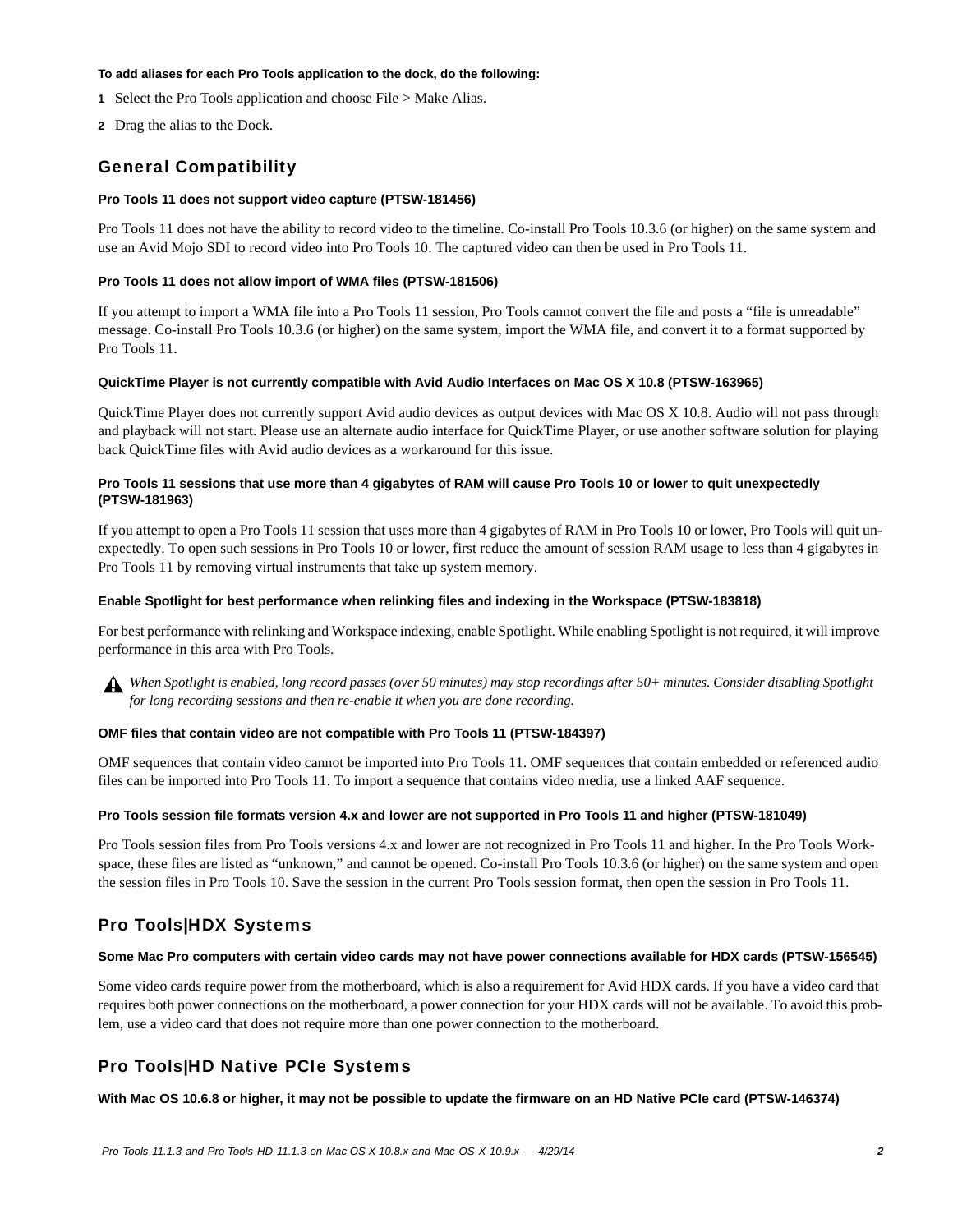#### **To add aliases for each Pro Tools application to the dock, do the following:**

- **1** Select the Pro Tools application and choose File > Make Alias.
- **2** Drag the alias to the Dock.

# General Compatibility

#### **Pro Tools 11 does not support video capture (PTSW-181456)**

Pro Tools 11 does not have the ability to record video to the timeline. Co-install Pro Tools 10.3.6 (or higher) on the same system and use an Avid Mojo SDI to record video into Pro Tools 10. The captured video can then be used in Pro Tools 11.

#### **Pro Tools 11 does not allow import of WMA files (PTSW-181506)**

If you attempt to import a WMA file into a Pro Tools 11 session, Pro Tools cannot convert the file and posts a "file is unreadable" message. Co-install Pro Tools 10.3.6 (or higher) on the same system, import the WMA file, and convert it to a format supported by Pro Tools 11.

#### **QuickTime Player is not currently compatible with Avid Audio Interfaces on Mac OS X 10.8 (PTSW-163965)**

QuickTime Player does not currently support Avid audio devices as output devices with Mac OS X 10.8. Audio will not pass through and playback will not start. Please use an alternate audio interface for QuickTime Player, or use another software solution for playing back QuickTime files with Avid audio devices as a workaround for this issue.

#### **Pro Tools 11 sessions that use more than 4 gigabytes of RAM will cause Pro Tools 10 or lower to quit unexpectedly (PTSW-181963)**

If you attempt to open a Pro Tools 11 session that uses more than 4 gigabytes of RAM in Pro Tools 10 or lower, Pro Tools will quit unexpectedly. To open such sessions in Pro Tools 10 or lower, first reduce the amount of session RAM usage to less than 4 gigabytes in Pro Tools 11 by removing virtual instruments that take up system memory.

#### **Enable Spotlight for best performance when relinking files and indexing in the Workspace (PTSW-183818)**

For best performance with relinking and Workspace indexing, enable Spotlight. While enabling Spotlight is not required, it will improve performance in this area with Pro Tools.



*When Spotlight is enabled, long record passes (over 50 minutes) may stop recordings after 50+ minutes. Consider disabling Spotlight for long recording sessions and then re-enable it when you are done recording.*

#### **OMF files that contain video are not compatible with Pro Tools 11 (PTSW-184397)**

OMF sequences that contain video cannot be imported into Pro Tools 11. OMF sequences that contain embedded or referenced audio files can be imported into Pro Tools 11. To import a sequence that contains video media, use a linked AAF sequence.

#### **Pro Tools session file formats version 4.x and lower are not supported in Pro Tools 11 and higher (PTSW-181049)**

Pro Tools session files from Pro Tools versions 4.x and lower are not recognized in Pro Tools 11 and higher. In the Pro Tools Workspace, these files are listed as "unknown," and cannot be opened. Co-install Pro Tools 10.3.6 (or higher) on the same system and open the session files in Pro Tools 10. Save the session in the current Pro Tools session format, then open the session in Pro Tools 11.

# Pro Tools|HDX Systems

### **Some Mac Pro computers with certain video cards may not have power connections available for HDX cards (PTSW-156545)**

Some video cards require power from the motherboard, which is also a requirement for Avid HDX cards. If you have a video card that requires both power connections on the motherboard, a power connection for your HDX cards will not be available. To avoid this problem, use a video card that does not require more than one power connection to the motherboard.

# Pro Tools|HD Native PCIe Systems

**With Mac OS 10.6.8 or higher, it may not be possible to update the firmware on an HD Native PCIe card (PTSW-146374)**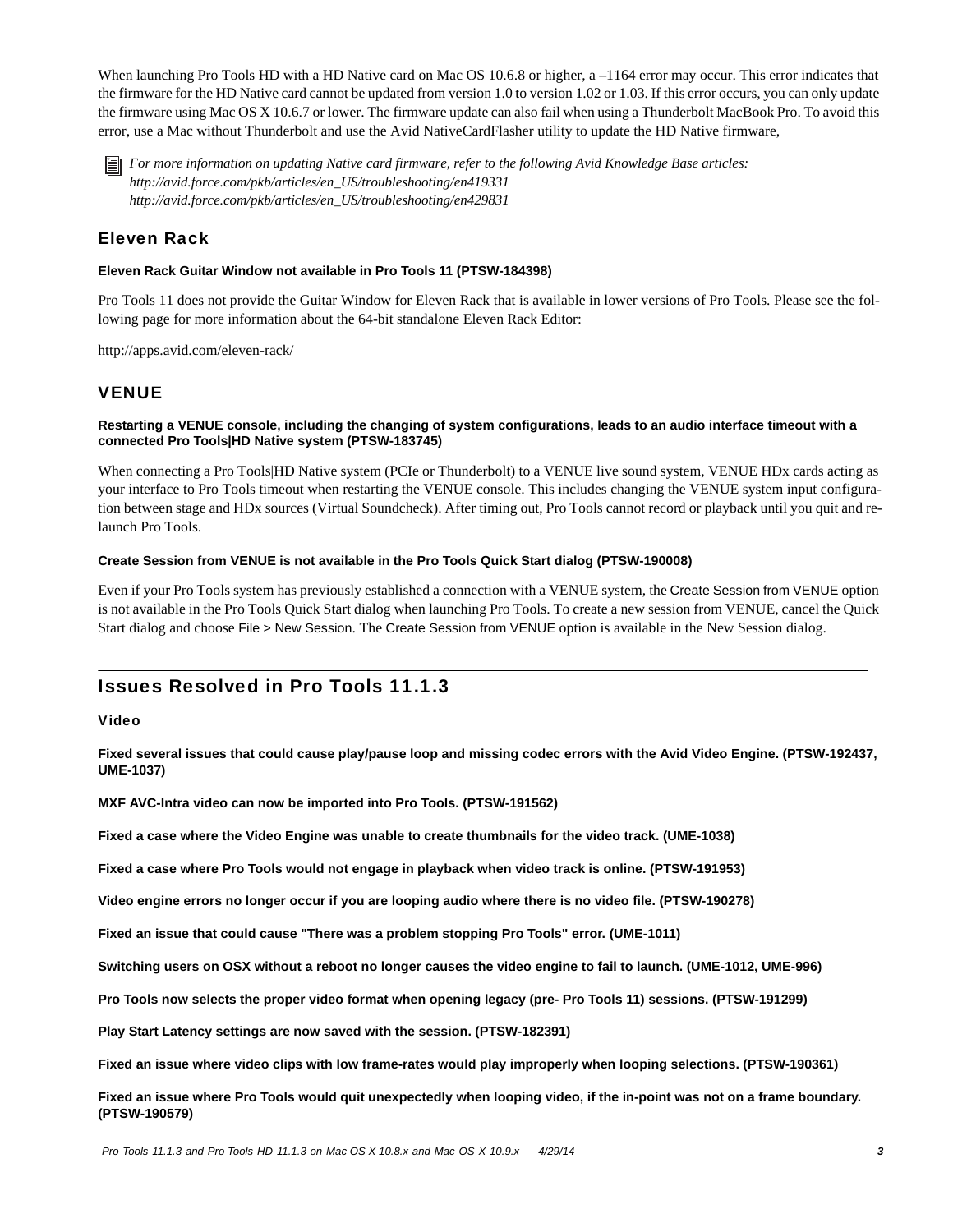When launching Pro Tools HD with a HD Native card on Mac OS 10.6.8 or higher, a -1164 error may occur. This error indicates that the firmware for the HD Native card cannot be updated from version 1.0 to version 1.02 or 1.03. If this error occurs, you can only update the firmware using Mac OS X 10.6.7 or lower. The firmware update can also fail when using a Thunderbolt MacBook Pro. To avoid this error, use a Mac without Thunderbolt and use the Avid NativeCardFlasher utility to update the HD Native firmware,

*For more information on updating Native card firmware, refer to the following Avid Knowledge Base articles: http://avid.force.com/pkb/articles/en\_US/troubleshooting/en419331 http://avid.force.com/pkb/articles/en\_US/troubleshooting/en429831*

# Eleven Rack

# **Eleven Rack Guitar Window not available in Pro Tools 11 (PTSW-184398)**

Pro Tools 11 does not provide the Guitar Window for Eleven Rack that is available in lower versions of Pro Tools. Please see the following page for more information about the 64-bit standalone Eleven Rack Editor:

http://apps.avid.com/eleven-rack/

# VENUE

### **Restarting a VENUE console, including the changing of system configurations, leads to an audio interface timeout with a connected Pro Tools|HD Native system (PTSW-183745)**

When connecting a Pro Tools|HD Native system (PCIe or Thunderbolt) to a VENUE live sound system, VENUE HDx cards acting as your interface to Pro Tools timeout when restarting the VENUE console. This includes changing the VENUE system input configuration between stage and HDx sources (Virtual Soundcheck). After timing out, Pro Tools cannot record or playback until you quit and relaunch Pro Tools.

### **Create Session from VENUE is not available in the Pro Tools Quick Start dialog (PTSW-190008)**

Even if your Pro Tools system has previously established a connection with a VENUE system, the Create Session from VENUE option is not available in the Pro Tools Quick Start dialog when launching Pro Tools. To create a new session from VENUE, cancel the Quick Start dialog and choose File > New Session. The Create Session from VENUE option is available in the New Session dialog.

# Issues Resolved in Pro Tools 11.1.3

# Video

**Fixed several issues that could cause play/pause loop and missing codec errors with the Avid Video Engine. (PTSW-192437, UME-1037)**

**MXF AVC-Intra video can now be imported into Pro Tools. (PTSW-191562)**

**Fixed a case where the Video Engine was unable to create thumbnails for the video track. (UME-1038)**

**Fixed a case where Pro Tools would not engage in playback when video track is online. (PTSW-191953)**

**Video engine errors no longer occur if you are looping audio where there is no video file. (PTSW-190278)**

**Fixed an issue that could cause "There was a problem stopping Pro Tools" error. (UME-1011)**

**Switching users on OSX without a reboot no longer causes the video engine to fail to launch. (UME-1012, UME-996)**

**Pro Tools now selects the proper video format when opening legacy (pre- Pro Tools 11) sessions. (PTSW-191299)**

**Play Start Latency settings are now saved with the session. (PTSW-182391)**

**Fixed an issue where video clips with low frame-rates would play improperly when looping selections. (PTSW-190361)**

**Fixed an issue where Pro Tools would quit unexpectedly when looping video, if the in-point was not on a frame boundary. (PTSW-190579)**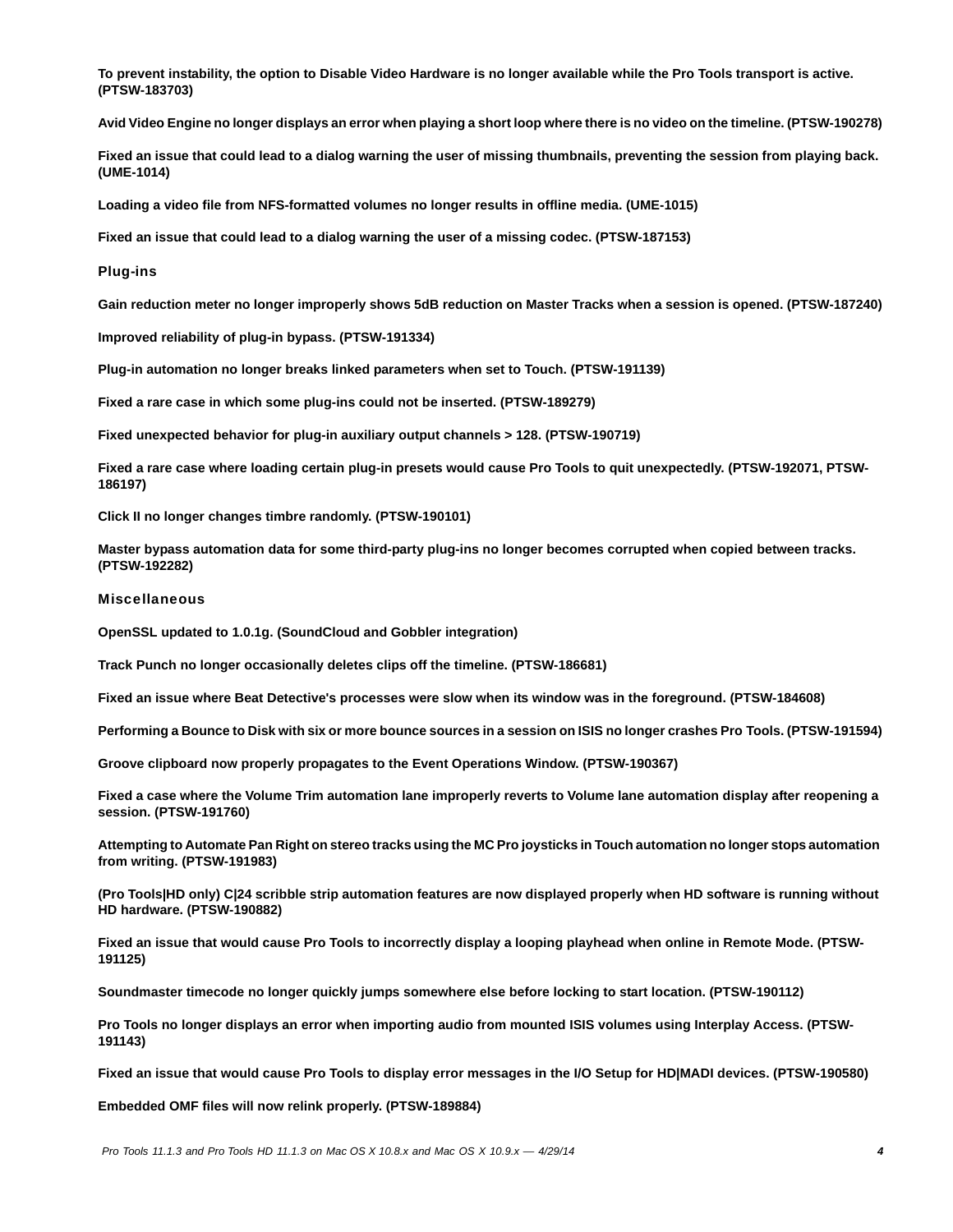**To prevent instability, the option to Disable Video Hardware is no longer available while the Pro Tools transport is active. (PTSW-183703)**

**Avid Video Engine no longer displays an error when playing a short loop where there is no video on the timeline. (PTSW-190278)**

**Fixed an issue that could lead to a dialog warning the user of missing thumbnails, preventing the session from playing back. (UME-1014)**

**Loading a video file from NFS-formatted volumes no longer results in offline media. (UME-1015)**

**Fixed an issue that could lead to a dialog warning the user of a missing codec. (PTSW-187153)**

#### Plug-ins

**Gain reduction meter no longer improperly shows 5dB reduction on Master Tracks when a session is opened. (PTSW-187240)**

**Improved reliability of plug-in bypass. (PTSW-191334)**

**Plug-in automation no longer breaks linked parameters when set to Touch. (PTSW-191139)**

**Fixed a rare case in which some plug-ins could not be inserted. (PTSW-189279)**

**Fixed unexpected behavior for plug-in auxiliary output channels > 128. (PTSW-190719)**

**Fixed a rare case where loading certain plug-in presets would cause Pro Tools to quit unexpectedly. (PTSW-192071, PTSW-186197)**

**Click II no longer changes timbre randomly. (PTSW-190101)**

**Master bypass automation data for some third-party plug-ins no longer becomes corrupted when copied between tracks. (PTSW-192282)**

#### **Miscellaneous**

**OpenSSL updated to 1.0.1g. (SoundCloud and Gobbler integration)**

**Track Punch no longer occasionally deletes clips off the timeline. (PTSW-186681)**

**Fixed an issue where Beat Detective's processes were slow when its window was in the foreground. (PTSW-184608)**

**Performing a Bounce to Disk with six or more bounce sources in a session on ISIS no longer crashes Pro Tools. (PTSW-191594)**

**Groove clipboard now properly propagates to the Event Operations Window. (PTSW-190367)**

**Fixed a case where the Volume Trim automation lane improperly reverts to Volume lane automation display after reopening a session. (PTSW-191760)**

**Attempting to Automate Pan Right on stereo tracks using the MC Pro joysticks in Touch automation no longer stops automation from writing. (PTSW-191983)**

**(Pro Tools|HD only) C|24 scribble strip automation features are now displayed properly when HD software is running without HD hardware. (PTSW-190882)**

**Fixed an issue that would cause Pro Tools to incorrectly display a looping playhead when online in Remote Mode. (PTSW-191125)**

**Soundmaster timecode no longer quickly jumps somewhere else before locking to start location. (PTSW-190112)**

**Pro Tools no longer displays an error when importing audio from mounted ISIS volumes using Interplay Access. (PTSW-191143)**

**Fixed an issue that would cause Pro Tools to display error messages in the I/O Setup for HD|MADI devices. (PTSW-190580)**

**Embedded OMF files will now relink properly. (PTSW-189884)**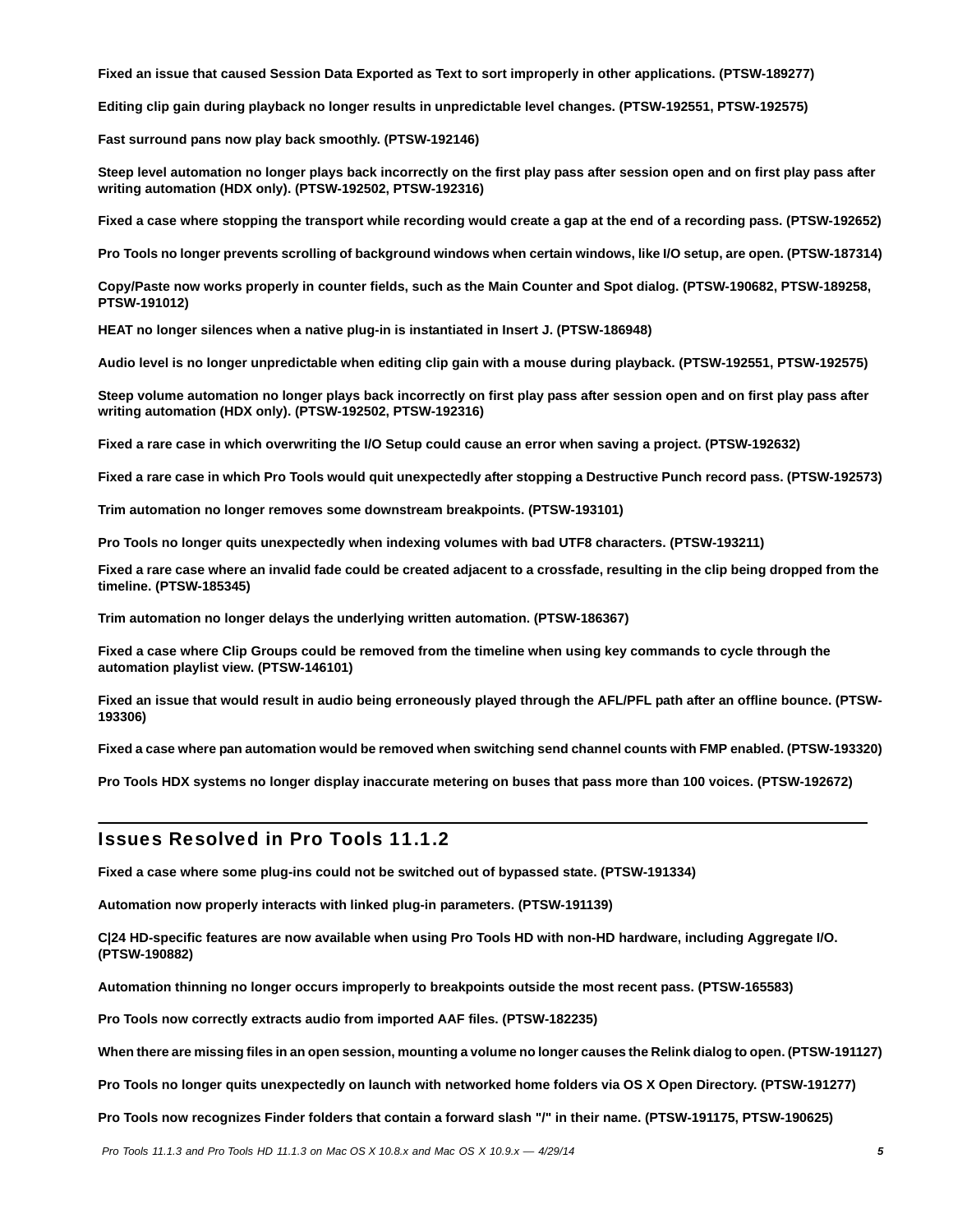**Fixed an issue that caused Session Data Exported as Text to sort improperly in other applications. (PTSW-189277)**

**Editing clip gain during playback no longer results in unpredictable level changes. (PTSW-192551, PTSW-192575)**

**Fast surround pans now play back smoothly. (PTSW-192146)**

**Steep level automation no longer plays back incorrectly on the first play pass after session open and on first play pass after writing automation (HDX only). (PTSW-192502, PTSW-192316)**

**Fixed a case where stopping the transport while recording would create a gap at the end of a recording pass. (PTSW-192652)**

**Pro Tools no longer prevents scrolling of background windows when certain windows, like I/O setup, are open. (PTSW-187314)**

**Copy/Paste now works properly in counter fields, such as the Main Counter and Spot dialog. (PTSW-190682, PTSW-189258, PTSW-191012)**

**HEAT no longer silences when a native plug-in is instantiated in Insert J. (PTSW-186948)**

**Audio level is no longer unpredictable when editing clip gain with a mouse during playback. (PTSW-192551, PTSW-192575)**

**Steep volume automation no longer plays back incorrectly on first play pass after session open and on first play pass after writing automation (HDX only). (PTSW-192502, PTSW-192316)**

**Fixed a rare case in which overwriting the I/O Setup could cause an error when saving a project. (PTSW-192632)**

**Fixed a rare case in which Pro Tools would quit unexpectedly after stopping a Destructive Punch record pass. (PTSW-192573)**

**Trim automation no longer removes some downstream breakpoints. (PTSW-193101)**

**Pro Tools no longer quits unexpectedly when indexing volumes with bad UTF8 characters. (PTSW-193211)**

**Fixed a rare case where an invalid fade could be created adjacent to a crossfade, resulting in the clip being dropped from the timeline. (PTSW-185345)**

**Trim automation no longer delays the underlying written automation. (PTSW-186367)**

**Fixed a case where Clip Groups could be removed from the timeline when using key commands to cycle through the automation playlist view. (PTSW-146101)**

**Fixed an issue that would result in audio being erroneously played through the AFL/PFL path after an offline bounce. (PTSW-193306)**

**Fixed a case where pan automation would be removed when switching send channel counts with FMP enabled. (PTSW-193320)**

**Pro Tools HDX systems no longer display inaccurate metering on buses that pass more than 100 voices. (PTSW-192672)**

# Issues Resolved in Pro Tools 11.1.2

**Fixed a case where some plug-ins could not be switched out of bypassed state. (PTSW-191334)**

**Automation now properly interacts with linked plug-in parameters. (PTSW-191139)**

**C|24 HD-specific features are now available when using Pro Tools HD with non-HD hardware, including Aggregate I/O. (PTSW-190882)**

**Automation thinning no longer occurs improperly to breakpoints outside the most recent pass. (PTSW-165583)**

**Pro Tools now correctly extracts audio from imported AAF files. (PTSW-182235)**

**When there are missing files in an open session, mounting a volume no longer causes the Relink dialog to open. (PTSW-191127)**

**Pro Tools no longer quits unexpectedly on launch with networked home folders via OS X Open Directory. (PTSW-191277)** 

**Pro Tools now recognizes Finder folders that contain a forward slash "/" in their name. (PTSW-191175, PTSW-190625)**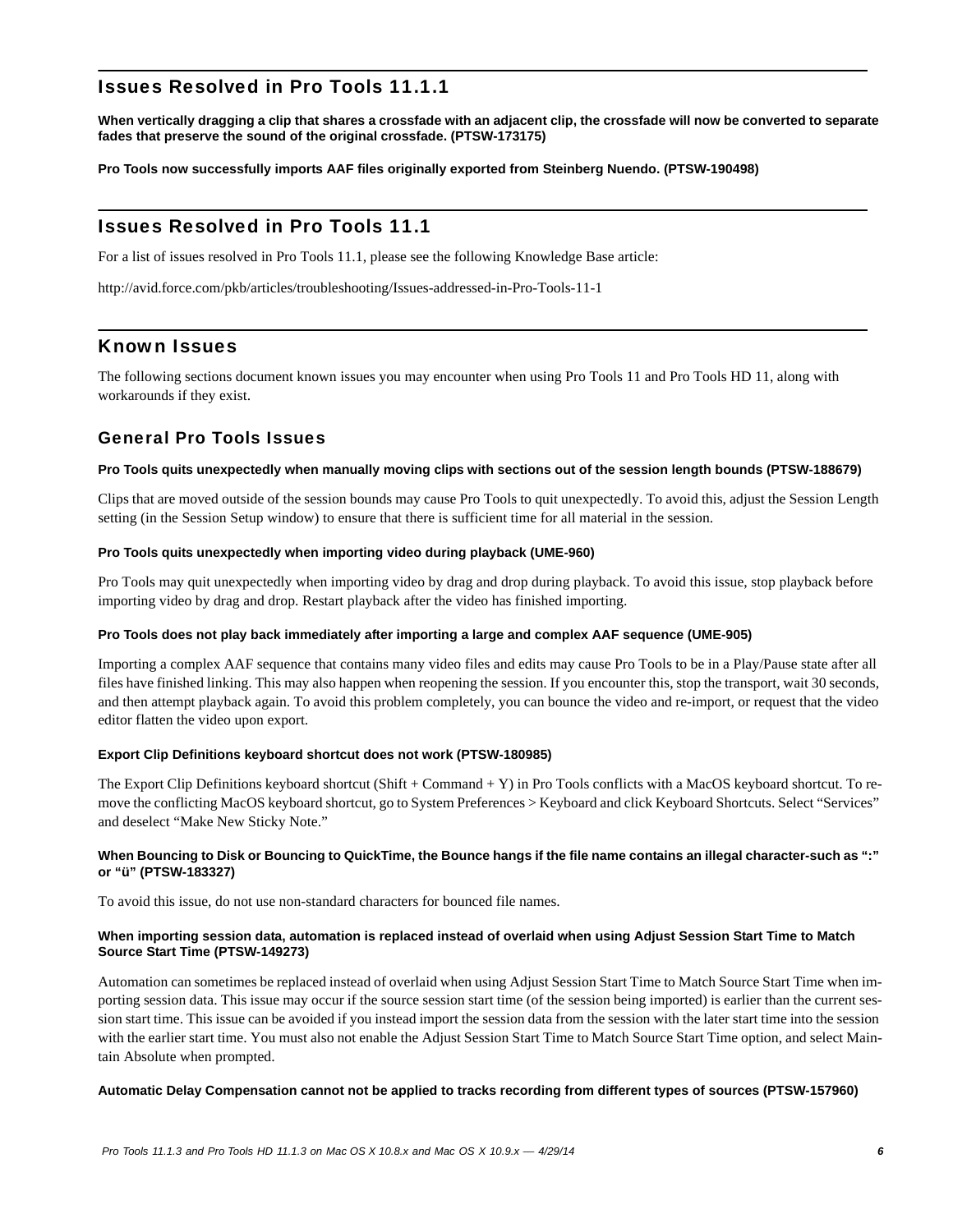# Issues Resolved in Pro Tools 11.1.1

**When vertically dragging a clip that shares a crossfade with an adjacent clip, the crossfade will now be converted to separate fades that preserve the sound of the original crossfade. (PTSW-173175)**

**Pro Tools now successfully imports AAF files originally exported from Steinberg Nuendo. (PTSW-190498)**

# Issues Resolved in Pro Tools 11.1

For a list of issues resolved in Pro Tools 11.1, please see the following Knowledge Base article:

<http://avid.force.com/pkb/articles/troubleshooting/Issues-addressed-in-Pro-Tools-11-1>

# Known Issues

The following sections document known issues you may encounter when using Pro Tools 11 and Pro Tools HD 11, along with workarounds if they exist.

# General Pro Tools Issues

### **Pro Tools quits unexpectedly when manually moving clips with sections out of the session length bounds (PTSW-188679)**

Clips that are moved outside of the session bounds may cause Pro Tools to quit unexpectedly. To avoid this, adjust the Session Length setting (in the Session Setup window) to ensure that there is sufficient time for all material in the session.

### **Pro Tools quits unexpectedly when importing video during playback (UME-960)**

Pro Tools may quit unexpectedly when importing video by drag and drop during playback. To avoid this issue, stop playback before importing video by drag and drop. Restart playback after the video has finished importing.

#### **Pro Tools does not play back immediately after importing a large and complex AAF sequence (UME-905)**

Importing a complex AAF sequence that contains many video files and edits may cause Pro Tools to be in a Play/Pause state after all files have finished linking. This may also happen when reopening the session. If you encounter this, stop the transport, wait 30 seconds, and then attempt playback again. To avoid this problem completely, you can bounce the video and re-import, or request that the video editor flatten the video upon export.

# **Export Clip Definitions keyboard shortcut does not work (PTSW-180985)**

The Export Clip Definitions keyboard shortcut (Shift + Command + Y) in Pro Tools conflicts with a MacOS keyboard shortcut. To remove the conflicting MacOS keyboard shortcut, go to System Preferences > Keyboard and click Keyboard Shortcuts. Select "Services" and deselect "Make New Sticky Note."

### **When Bouncing to Disk or Bouncing to QuickTime, the Bounce hangs if the file name contains an illegal character-such as ":" or "ü" (PTSW-183327)**

To avoid this issue, do not use non-standard characters for bounced file names.

### **When importing session data, automation is replaced instead of overlaid when using Adjust Session Start Time to Match Source Start Time (PTSW-149273)**

Automation can sometimes be replaced instead of overlaid when using Adjust Session Start Time to Match Source Start Time when importing session data. This issue may occur if the source session start time (of the session being imported) is earlier than the current session start time. This issue can be avoided if you instead import the session data from the session with the later start time into the session with the earlier start time. You must also not enable the Adjust Session Start Time to Match Source Start Time option, and select Maintain Absolute when prompted.

#### **Automatic Delay Compensation cannot not be applied to tracks recording from different types of sources (PTSW-157960)**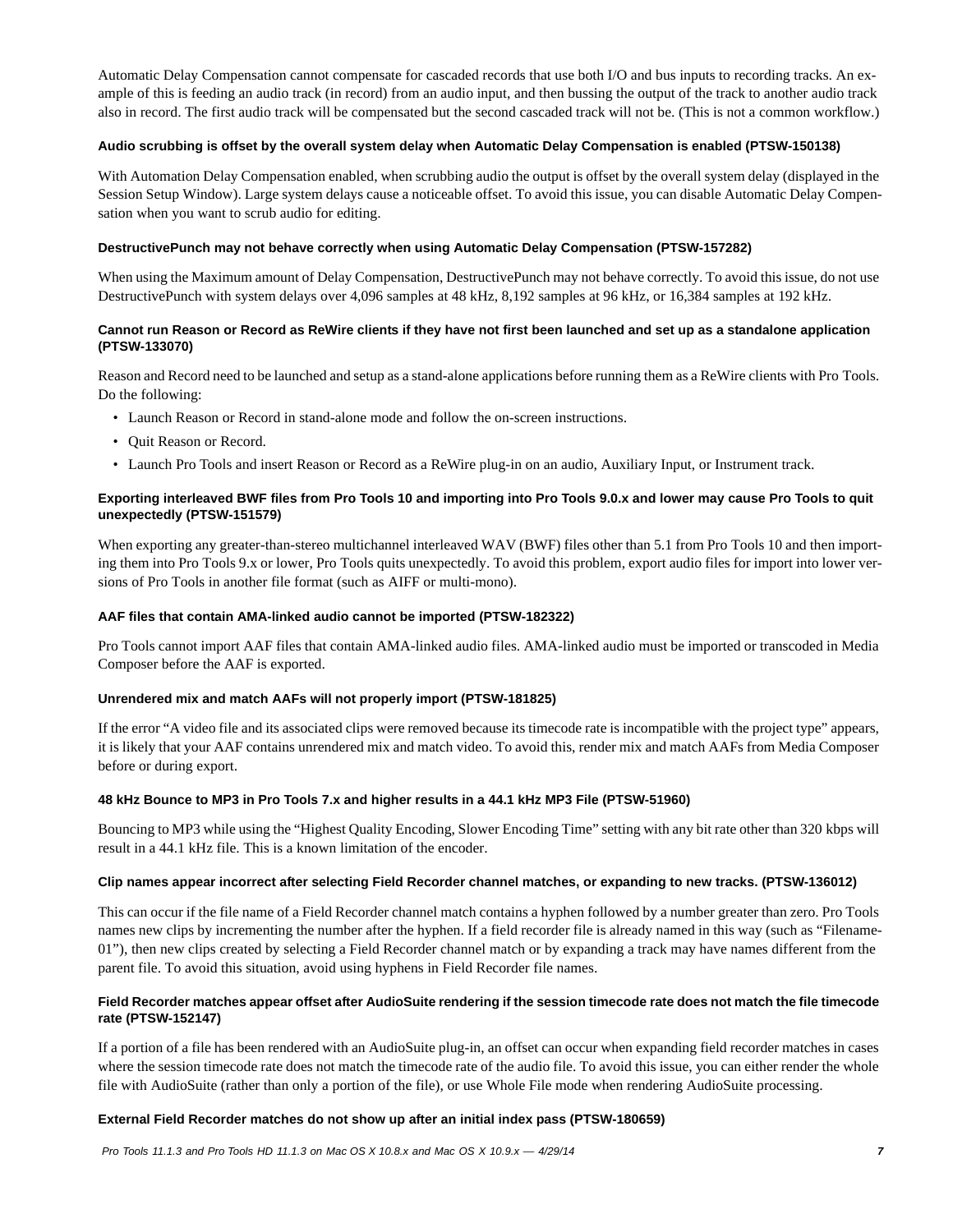Automatic Delay Compensation cannot compensate for cascaded records that use both I/O and bus inputs to recording tracks. An example of this is feeding an audio track (in record) from an audio input, and then bussing the output of the track to another audio track also in record. The first audio track will be compensated but the second cascaded track will not be. (This is not a common workflow.)

# **Audio scrubbing is offset by the overall system delay when Automatic Delay Compensation is enabled (PTSW-150138)**

With Automation Delay Compensation enabled, when scrubbing audio the output is offset by the overall system delay (displayed in the Session Setup Window). Large system delays cause a noticeable offset. To avoid this issue, you can disable Automatic Delay Compensation when you want to scrub audio for editing.

# **DestructivePunch may not behave correctly when using Automatic Delay Compensation (PTSW-157282)**

When using the Maximum amount of Delay Compensation, DestructivePunch may not behave correctly. To avoid this issue, do not use DestructivePunch with system delays over 4,096 samples at 48 kHz, 8,192 samples at 96 kHz, or 16,384 samples at 192 kHz.

# **Cannot run Reason or Record as ReWire clients if they have not first been launched and set up as a standalone application (PTSW-133070)**

Reason and Record need to be launched and setup as a stand-alone applications before running them as a ReWire clients with Pro Tools. Do the following:

- Launch Reason or Record in stand-alone mode and follow the on-screen instructions.
- Quit Reason or Record.
- Launch Pro Tools and insert Reason or Record as a ReWire plug-in on an audio, Auxiliary Input, or Instrument track.

# **Exporting interleaved BWF files from Pro Tools 10 and importing into Pro Tools 9.0.x and lower may cause Pro Tools to quit unexpectedly (PTSW-151579)**

When exporting any greater-than-stereo multichannel interleaved WAV (BWF) files other than 5.1 from Pro Tools 10 and then importing them into Pro Tools 9.x or lower, Pro Tools quits unexpectedly. To avoid this problem, export audio files for import into lower versions of Pro Tools in another file format (such as AIFF or multi-mono).

# **AAF files that contain AMA-linked audio cannot be imported (PTSW-182322)**

Pro Tools cannot import AAF files that contain AMA-linked audio files. AMA-linked audio must be imported or transcoded in Media Composer before the AAF is exported.

# **Unrendered mix and match AAFs will not properly import (PTSW-181825)**

If the error "A video file and its associated clips were removed because its timecode rate is incompatible with the project type" appears, it is likely that your AAF contains unrendered mix and match video. To avoid this, render mix and match AAFs from Media Composer before or during export.

# **48 kHz Bounce to MP3 in Pro Tools 7.x and higher results in a 44.1 kHz MP3 File (PTSW-51960)**

Bouncing to MP3 while using the "Highest Quality Encoding, Slower Encoding Time" setting with any bit rate other than 320 kbps will result in a 44.1 kHz file. This is a known limitation of the encoder.

# **Clip names appear incorrect after selecting Field Recorder channel matches, or expanding to new tracks. (PTSW-136012)**

This can occur if the file name of a Field Recorder channel match contains a hyphen followed by a number greater than zero. Pro Tools names new clips by incrementing the number after the hyphen. If a field recorder file is already named in this way (such as "Filename-01"), then new clips created by selecting a Field Recorder channel match or by expanding a track may have names different from the parent file. To avoid this situation, avoid using hyphens in Field Recorder file names.

# **Field Recorder matches appear offset after AudioSuite rendering if the session timecode rate does not match the file timecode rate (PTSW-152147)**

If a portion of a file has been rendered with an AudioSuite plug-in, an offset can occur when expanding field recorder matches in cases where the session timecode rate does not match the timecode rate of the audio file. To avoid this issue, you can either render the whole file with AudioSuite (rather than only a portion of the file), or use Whole File mode when rendering AudioSuite processing.

# **External Field Recorder matches do not show up after an initial index pass (PTSW-180659)**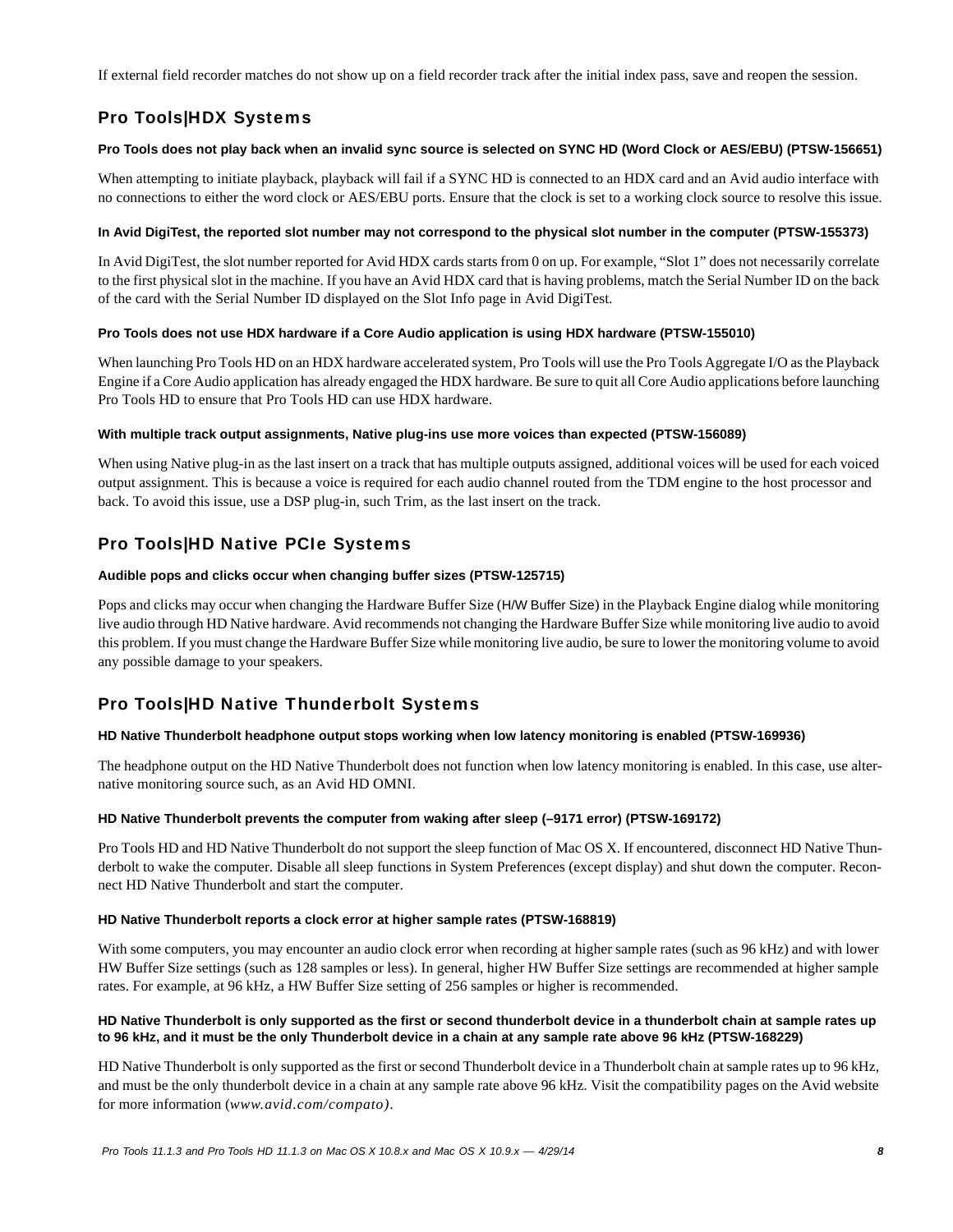If external field recorder matches do not show up on a field recorder track after the initial index pass, save and reopen the session.

# Pro Tools|HDX Systems

# **Pro Tools does not play back when an invalid sync source is selected on SYNC HD (Word Clock or AES/EBU) (PTSW-156651)**

When attempting to initiate playback, playback will fail if a SYNC HD is connected to an HDX card and an Avid audio interface with no connections to either the word clock or AES/EBU ports. Ensure that the clock is set to a working clock source to resolve this issue.

# **In Avid DigiTest, the reported slot number may not correspond to the physical slot number in the computer (PTSW-155373)**

In Avid DigiTest, the slot number reported for Avid HDX cards starts from 0 on up. For example, "Slot 1" does not necessarily correlate to the first physical slot in the machine. If you have an Avid HDX card that is having problems, match the Serial Number ID on the back of the card with the Serial Number ID displayed on the Slot Info page in Avid DigiTest.

# **Pro Tools does not use HDX hardware if a Core Audio application is using HDX hardware (PTSW-155010)**

When launching Pro Tools HD on an HDX hardware accelerated system, Pro Tools will use the Pro Tools Aggregate I/O as the Playback Engine if a Core Audio application has already engaged the HDX hardware. Be sure to quit all Core Audio applications before launching Pro Tools HD to ensure that Pro Tools HD can use HDX hardware.

# **With multiple track output assignments, Native plug-ins use more voices than expected (PTSW-156089)**

When using Native plug-in as the last insert on a track that has multiple outputs assigned, additional voices will be used for each voiced output assignment. This is because a voice is required for each audio channel routed from the TDM engine to the host processor and back. To avoid this issue, use a DSP plug-in, such Trim, as the last insert on the track.

# Pro Tools|HD Native PCIe Systems

# **Audible pops and clicks occur when changing buffer sizes (PTSW-125715)**

Pops and clicks may occur when changing the Hardware Buffer Size (H/W Buffer Size) in the Playback Engine dialog while monitoring live audio through HD Native hardware. Avid recommends not changing the Hardware Buffer Size while monitoring live audio to avoid this problem. If you must change the Hardware Buffer Size while monitoring live audio, be sure to lower the monitoring volume to avoid any possible damage to your speakers.

# Pro Tools|HD Native Thunderbolt Systems

# **HD Native Thunderbolt headphone output stops working when low latency monitoring is enabled (PTSW-169936)**

The headphone output on the HD Native Thunderbolt does not function when low latency monitoring is enabled. In this case, use alternative monitoring source such, as an Avid HD OMNI.

# **HD Native Thunderbolt prevents the computer from waking after sleep (–9171 error) (PTSW-169172)**

Pro Tools HD and HD Native Thunderbolt do not support the sleep function of Mac OS X. If encountered, disconnect HD Native Thunderbolt to wake the computer. Disable all sleep functions in System Preferences (except display) and shut down the computer. Reconnect HD Native Thunderbolt and start the computer.

# **HD Native Thunderbolt reports a clock error at higher sample rates (PTSW-168819)**

With some computers, you may encounter an audio clock error when recording at higher sample rates (such as 96 kHz) and with lower HW Buffer Size settings (such as 128 samples or less). In general, higher HW Buffer Size settings are recommended at higher sample rates. For example, at 96 kHz, a HW Buffer Size setting of 256 samples or higher is recommended.

# **HD Native Thunderbolt is only supported as the first or second thunderbolt device in a thunderbolt chain at sample rates up to 96 kHz, and it must be the only Thunderbolt device in a chain at any sample rate above 96 kHz (PTSW-168229)**

HD Native Thunderbolt is only supported as the first or second Thunderbolt device in a Thunderbolt chain at sample rates up to 96 kHz, and must be the only thunderbolt device in a chain at any sample rate above 96 kHz. Visit the compatibility pages on the Avid website for more information (*www.avid.com/compato)*.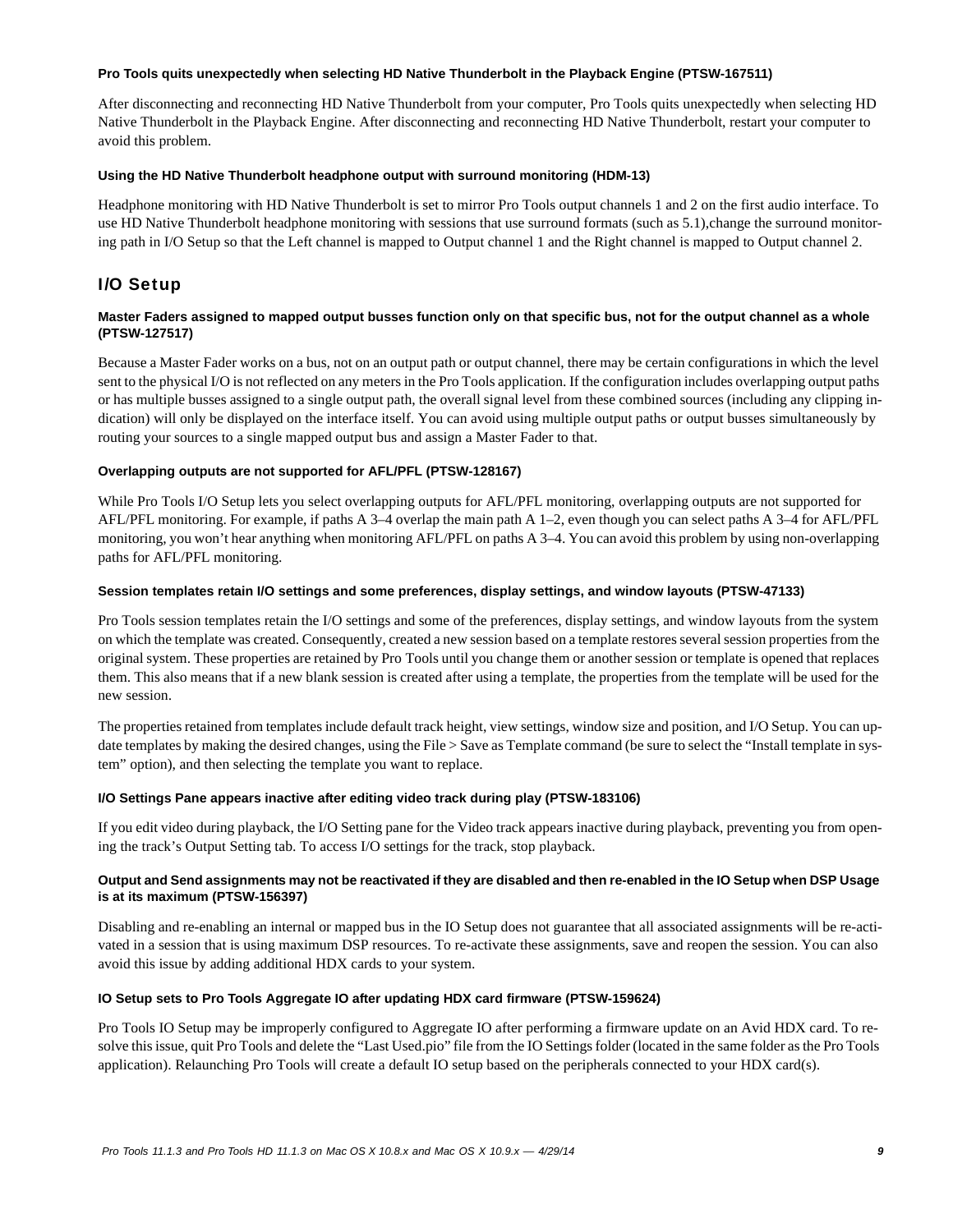#### **Pro Tools quits unexpectedly when selecting HD Native Thunderbolt in the Playback Engine (PTSW-167511)**

After disconnecting and reconnecting HD Native Thunderbolt from your computer, Pro Tools quits unexpectedly when selecting HD Native Thunderbolt in the Playback Engine. After disconnecting and reconnecting HD Native Thunderbolt, restart your computer to avoid this problem.

### **Using the HD Native Thunderbolt headphone output with surround monitoring (HDM-13)**

Headphone monitoring with HD Native Thunderbolt is set to mirror Pro Tools output channels 1 and 2 on the first audio interface. To use HD Native Thunderbolt headphone monitoring with sessions that use surround formats (such as 5.1), change the surround monitoring path in I/O Setup so that the Left channel is mapped to Output channel 1 and the Right channel is mapped to Output channel 2.

# I/O Setup

# **Master Faders assigned to mapped output busses function only on that specific bus, not for the output channel as a whole (PTSW-127517)**

Because a Master Fader works on a bus, not on an output path or output channel, there may be certain configurations in which the level sent to the physical I/O is not reflected on any meters in the Pro Tools application. If the configuration includes overlapping output paths or has multiple busses assigned to a single output path, the overall signal level from these combined sources (including any clipping indication) will only be displayed on the interface itself. You can avoid using multiple output paths or output busses simultaneously by routing your sources to a single mapped output bus and assign a Master Fader to that.

# **Overlapping outputs are not supported for AFL/PFL (PTSW-128167)**

While Pro Tools I/O Setup lets you select overlapping outputs for AFL/PFL monitoring, overlapping outputs are not supported for AFL/PFL monitoring. For example, if paths A 3–4 overlap the main path A 1–2, even though you can select paths A 3–4 for AFL/PFL monitoring, you won't hear anything when monitoring AFL/PFL on paths A 3–4. You can avoid this problem by using non-overlapping paths for AFL/PFL monitoring.

### **Session templates retain I/O settings and some preferences, display settings, and window layouts (PTSW-47133)**

Pro Tools session templates retain the I/O settings and some of the preferences, display settings, and window layouts from the system on which the template was created. Consequently, created a new session based on a template restores several session properties from the original system. These properties are retained by Pro Tools until you change them or another session or template is opened that replaces them. This also means that if a new blank session is created after using a template, the properties from the template will be used for the new session.

The properties retained from templates include default track height, view settings, window size and position, and I/O Setup. You can update templates by making the desired changes, using the File > Save as Template command (be sure to select the "Install template in system" option), and then selecting the template you want to replace.

# **I/O Settings Pane appears inactive after editing video track during play (PTSW-183106)**

If you edit video during playback, the I/O Setting pane for the Video track appears inactive during playback, preventing you from opening the track's Output Setting tab. To access I/O settings for the track, stop playback.

# **Output and Send assignments may not be reactivated if they are disabled and then re-enabled in the IO Setup when DSP Usage is at its maximum (PTSW-156397)**

Disabling and re-enabling an internal or mapped bus in the IO Setup does not guarantee that all associated assignments will be re-activated in a session that is using maximum DSP resources. To re-activate these assignments, save and reopen the session. You can also avoid this issue by adding additional HDX cards to your system.

# **IO Setup sets to Pro Tools Aggregate IO after updating HDX card firmware (PTSW-159624)**

Pro Tools IO Setup may be improperly configured to Aggregate IO after performing a firmware update on an Avid HDX card. To resolve this issue, quit Pro Tools and delete the "Last Used.pio" file from the IO Settings folder (located in the same folder as the Pro Tools application). Relaunching Pro Tools will create a default IO setup based on the peripherals connected to your HDX card(s).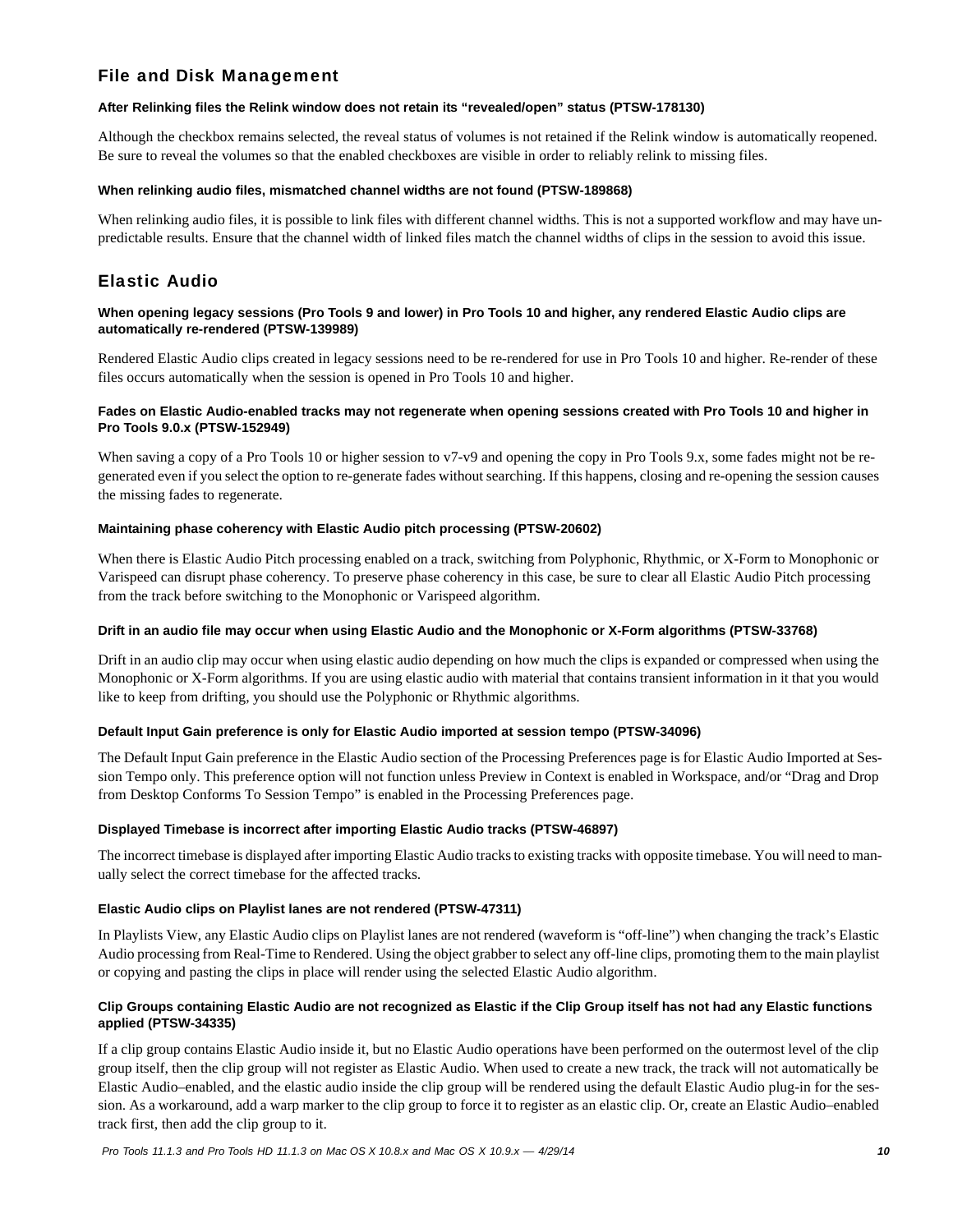# File and Disk Management

# **After Relinking files the Relink window does not retain its "revealed/open" status (PTSW-178130)**

Although the checkbox remains selected, the reveal status of volumes is not retained if the Relink window is automatically reopened. Be sure to reveal the volumes so that the enabled checkboxes are visible in order to reliably relink to missing files.

### **When relinking audio files, mismatched channel widths are not found (PTSW-189868)**

When relinking audio files, it is possible to link files with different channel widths. This is not a supported workflow and may have unpredictable results. Ensure that the channel width of linked files match the channel widths of clips in the session to avoid this issue.

# Elastic Audio

### **When opening legacy sessions (Pro Tools 9 and lower) in Pro Tools 10 and higher, any rendered Elastic Audio clips are automatically re-rendered (PTSW-139989)**

Rendered Elastic Audio clips created in legacy sessions need to be re-rendered for use in Pro Tools 10 and higher. Re-render of these files occurs automatically when the session is opened in Pro Tools 10 and higher.

# **Fades on Elastic Audio-enabled tracks may not regenerate when opening sessions created with Pro Tools 10 and higher in Pro Tools 9.0.x (PTSW-152949)**

When saving a copy of a Pro Tools 10 or higher session to v7-v9 and opening the copy in Pro Tools 9.x, some fades might not be regenerated even if you select the option to re-generate fades without searching. If this happens, closing and re-opening the session causes the missing fades to regenerate.

### **Maintaining phase coherency with Elastic Audio pitch processing (PTSW-20602)**

When there is Elastic Audio Pitch processing enabled on a track, switching from Polyphonic, Rhythmic, or X-Form to Monophonic or Varispeed can disrupt phase coherency. To preserve phase coherency in this case, be sure to clear all Elastic Audio Pitch processing from the track before switching to the Monophonic or Varispeed algorithm.

# **Drift in an audio file may occur when using Elastic Audio and the Monophonic or X-Form algorithms (PTSW-33768)**

Drift in an audio clip may occur when using elastic audio depending on how much the clips is expanded or compressed when using the Monophonic or X-Form algorithms. If you are using elastic audio with material that contains transient information in it that you would like to keep from drifting, you should use the Polyphonic or Rhythmic algorithms.

# **Default Input Gain preference is only for Elastic Audio imported at session tempo (PTSW-34096)**

The Default Input Gain preference in the Elastic Audio section of the Processing Preferences page is for Elastic Audio Imported at Session Tempo only. This preference option will not function unless Preview in Context is enabled in Workspace, and/or "Drag and Drop from Desktop Conforms To Session Tempo" is enabled in the Processing Preferences page.

# **Displayed Timebase is incorrect after importing Elastic Audio tracks (PTSW-46897)**

The incorrect timebase is displayed after importing Elastic Audio tracks to existing tracks with opposite timebase. You will need to manually select the correct timebase for the affected tracks.

# **Elastic Audio clips on Playlist lanes are not rendered (PTSW-47311)**

In Playlists View, any Elastic Audio clips on Playlist lanes are not rendered (waveform is "off-line") when changing the track's Elastic Audio processing from Real-Time to Rendered. Using the object grabber to select any off-line clips, promoting them to the main playlist or copying and pasting the clips in place will render using the selected Elastic Audio algorithm.

# **Clip Groups containing Elastic Audio are not recognized as Elastic if the Clip Group itself has not had any Elastic functions applied (PTSW-34335)**

If a clip group contains Elastic Audio inside it, but no Elastic Audio operations have been performed on the outermost level of the clip group itself, then the clip group will not register as Elastic Audio. When used to create a new track, the track will not automatically be Elastic Audio–enabled, and the elastic audio inside the clip group will be rendered using the default Elastic Audio plug-in for the session. As a workaround, add a warp marker to the clip group to force it to register as an elastic clip. Or, create an Elastic Audio–enabled track first, then add the clip group to it.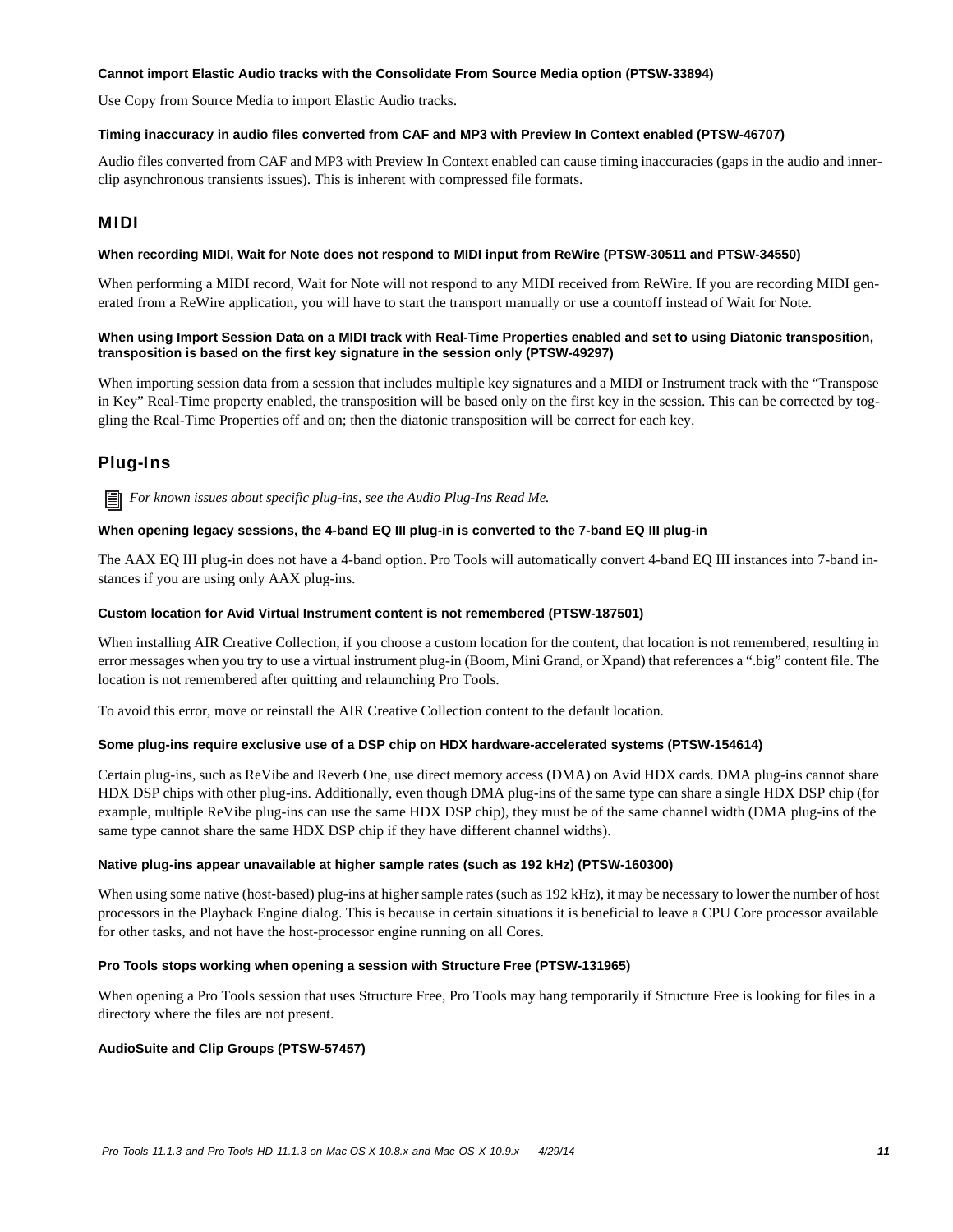### **Cannot import Elastic Audio tracks with the Consolidate From Source Media option (PTSW-33894)**

Use Copy from Source Media to import Elastic Audio tracks.

#### **Timing inaccuracy in audio files converted from CAF and MP3 with Preview In Context enabled (PTSW-46707)**

Audio files converted from CAF and MP3 with Preview In Context enabled can cause timing inaccuracies (gaps in the audio and innerclip asynchronous transients issues). This is inherent with compressed file formats.

# MIDI

### **When recording MIDI, Wait for Note does not respond to MIDI input from ReWire (PTSW-30511 and PTSW-34550)**

When performing a MIDI record, Wait for Note will not respond to any MIDI received from ReWire. If you are recording MIDI generated from a ReWire application, you will have to start the transport manually or use a countoff instead of Wait for Note.

### **When using Import Session Data on a MIDI track with Real-Time Properties enabled and set to using Diatonic transposition, transposition is based on the first key signature in the session only (PTSW-49297)**

When importing session data from a session that includes multiple key signatures and a MIDI or Instrument track with the "Transpose in Key" Real-Time property enabled, the transposition will be based only on the first key in the session. This can be corrected by toggling the Real-Time Properties off and on; then the diatonic transposition will be correct for each key.

# Plug-Ins

*For known issues about specific plug-ins, see the Audio Plug-Ins Read Me.*

# **When opening legacy sessions, the 4-band EQ III plug-in is converted to the 7-band EQ III plug-in**

The AAX EQ III plug-in does not have a 4-band option. Pro Tools will automatically convert 4-band EQ III instances into 7-band instances if you are using only AAX plug-ins.

#### **Custom location for Avid Virtual Instrument content is not remembered (PTSW-187501)**

When installing AIR Creative Collection, if you choose a custom location for the content, that location is not remembered, resulting in error messages when you try to use a virtual instrument plug-in (Boom, Mini Grand, or Xpand) that references a ".big" content file. The location is not remembered after quitting and relaunching Pro Tools.

To avoid this error, move or reinstall the AIR Creative Collection content to the default location.

#### **Some plug-ins require exclusive use of a DSP chip on HDX hardware-accelerated systems (PTSW-154614)**

Certain plug-ins, such as ReVibe and Reverb One, use direct memory access (DMA) on Avid HDX cards. DMA plug-ins cannot share HDX DSP chips with other plug-ins. Additionally, even though DMA plug-ins of the same type can share a single HDX DSP chip (for example, multiple ReVibe plug-ins can use the same HDX DSP chip), they must be of the same channel width (DMA plug-ins of the same type cannot share the same HDX DSP chip if they have different channel widths).

#### **Native plug-ins appear unavailable at higher sample rates (such as 192 kHz) (PTSW-160300)**

When using some native (host-based) plug-ins at higher sample rates (such as 192 kHz), it may be necessary to lower the number of host processors in the Playback Engine dialog. This is because in certain situations it is beneficial to leave a CPU Core processor available for other tasks, and not have the host-processor engine running on all Cores.

#### **Pro Tools stops working when opening a session with Structure Free (PTSW-131965)**

When opening a Pro Tools session that uses Structure Free, Pro Tools may hang temporarily if Structure Free is looking for files in a directory where the files are not present.

#### **AudioSuite and Clip Groups (PTSW-57457)**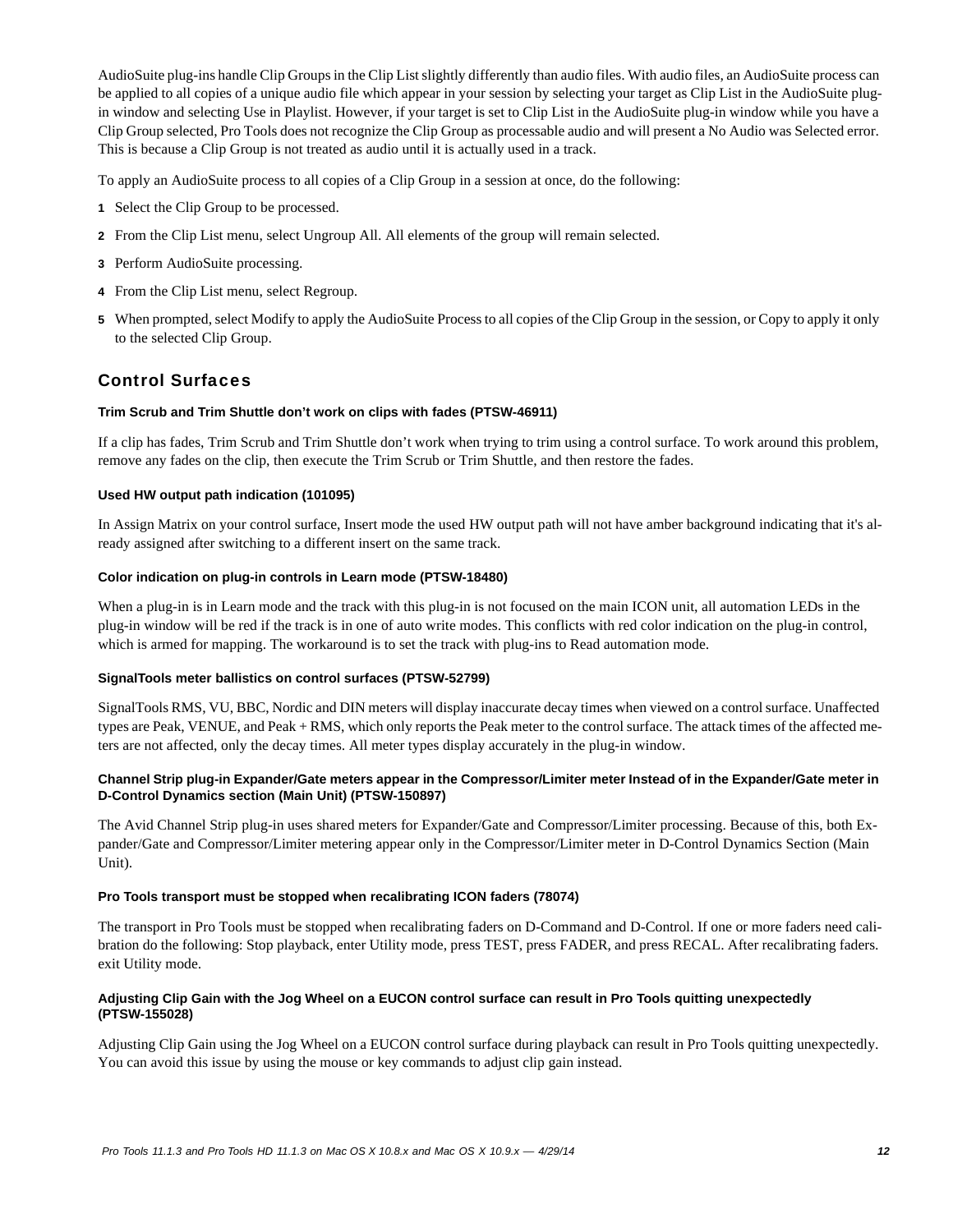AudioSuite plug-ins handle Clip Groups in the Clip List slightly differently than audio files. With audio files, an AudioSuite process can be applied to all copies of a unique audio file which appear in your session by selecting your target as Clip List in the AudioSuite plugin window and selecting Use in Playlist. However, if your target is set to Clip List in the AudioSuite plug-in window while you have a Clip Group selected, Pro Tools does not recognize the Clip Group as processable audio and will present a No Audio was Selected error. This is because a Clip Group is not treated as audio until it is actually used in a track.

To apply an AudioSuite process to all copies of a Clip Group in a session at once, do the following:

- **1** Select the Clip Group to be processed.
- **2** From the Clip List menu, select Ungroup All. All elements of the group will remain selected.
- **3** Perform AudioSuite processing.
- **4** From the Clip List menu, select Regroup.
- **5** When prompted, select Modify to apply the AudioSuite Process to all copies of the Clip Group in the session, or Copy to apply it only to the selected Clip Group.

# Control Surfaces

# **Trim Scrub and Trim Shuttle don't work on clips with fades (PTSW-46911)**

If a clip has fades, Trim Scrub and Trim Shuttle don't work when trying to trim using a control surface. To work around this problem, remove any fades on the clip, then execute the Trim Scrub or Trim Shuttle, and then restore the fades.

# **Used HW output path indication (101095)**

In Assign Matrix on your control surface, Insert mode the used HW output path will not have amber background indicating that it's already assigned after switching to a different insert on the same track.

# **Color indication on plug-in controls in Learn mode (PTSW-18480)**

When a plug-in is in Learn mode and the track with this plug-in is not focused on the main ICON unit, all automation LEDs in the plug-in window will be red if the track is in one of auto write modes. This conflicts with red color indication on the plug-in control, which is armed for mapping. The workaround is to set the track with plug-ins to Read automation mode.

# **SignalTools meter ballistics on control surfaces (PTSW-52799)**

SignalTools RMS, VU, BBC, Nordic and DIN meters will display inaccurate decay times when viewed on a control surface. Unaffected types are Peak, VENUE, and Peak + RMS, which only reports the Peak meter to the control surface. The attack times of the affected meters are not affected, only the decay times. All meter types display accurately in the plug-in window.

# **Channel Strip plug-in Expander/Gate meters appear in the Compressor/Limiter meter Instead of in the Expander/Gate meter in D-Control Dynamics section (Main Unit) (PTSW-150897)**

The Avid Channel Strip plug-in uses shared meters for Expander/Gate and Compressor/Limiter processing. Because of this, both Expander/Gate and Compressor/Limiter metering appear only in the Compressor/Limiter meter in D-Control Dynamics Section (Main Unit).

# **Pro Tools transport must be stopped when recalibrating ICON faders (78074)**

The transport in Pro Tools must be stopped when recalibrating faders on D-Command and D-Control. If one or more faders need calibration do the following: Stop playback, enter Utility mode, press TEST, press FADER, and press RECAL. After recalibrating faders. exit Utility mode.

# **Adjusting Clip Gain with the Jog Wheel on a EUCON control surface can result in Pro Tools quitting unexpectedly (PTSW-155028)**

Adjusting Clip Gain using the Jog Wheel on a EUCON control surface during playback can result in Pro Tools quitting unexpectedly. You can avoid this issue by using the mouse or key commands to adjust clip gain instead.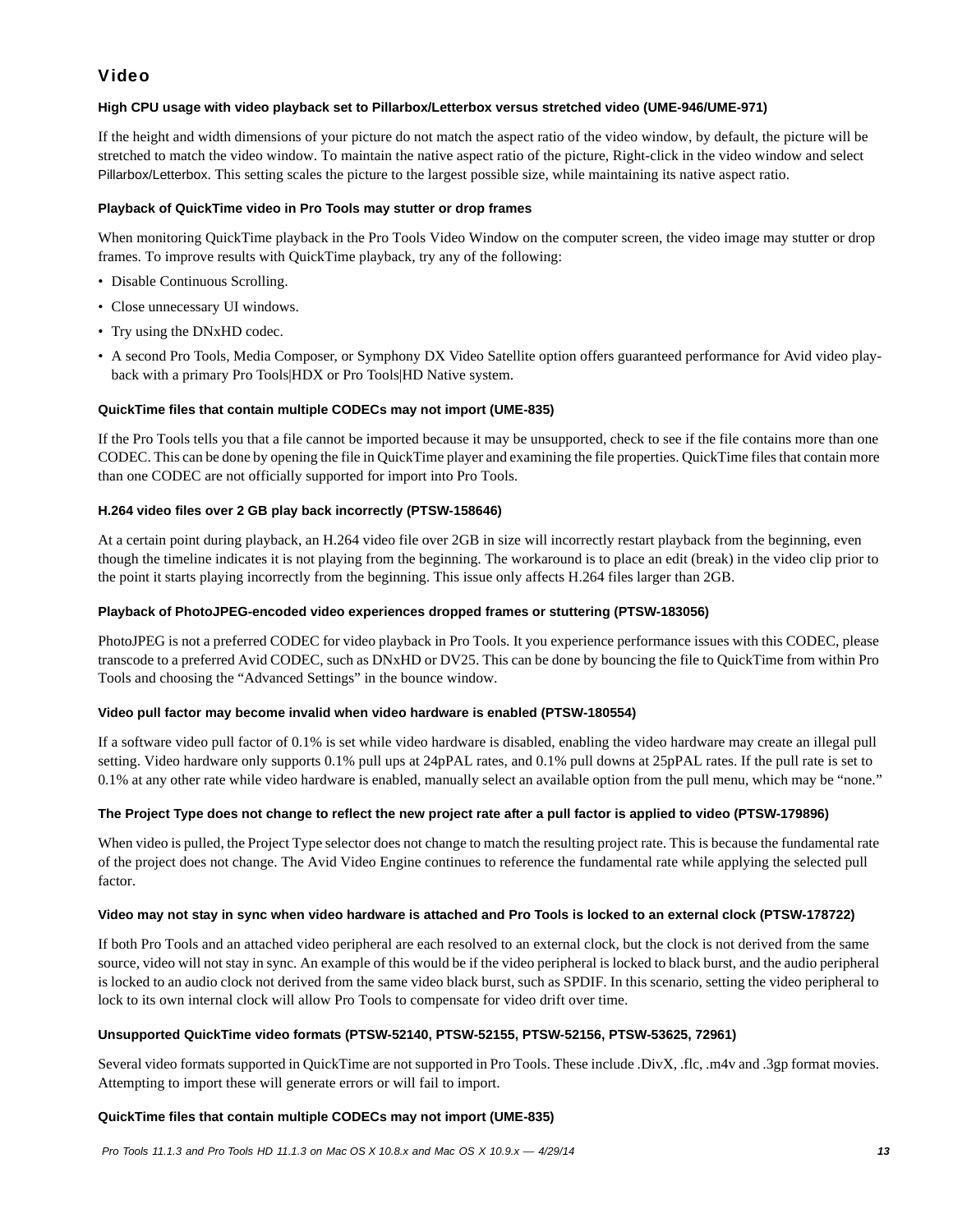# Video

# **High CPU usage with video playback set to Pillarbox/Letterbox versus stretched video (UME-946/UME-971)**

If the height and width dimensions of your picture do not match the aspect ratio of the video window, by default, the picture will be stretched to match the video window. To maintain the native aspect ratio of the picture, Right-click in the video window and select Pillarbox/Letterbox. This setting scales the picture to the largest possible size, while maintaining its native aspect ratio.

# **Playback of QuickTime video in Pro Tools may stutter or drop frames**

When monitoring QuickTime playback in the Pro Tools Video Window on the computer screen, the video image may stutter or drop frames. To improve results with QuickTime playback, try any of the following:

- Disable Continuous Scrolling.
- Close unnecessary UI windows.
- Try using the DNxHD codec.
- A second Pro Tools, Media Composer, or Symphony DX Video Satellite option offers guaranteed performance for Avid video playback with a primary Pro Tools|HDX or Pro Tools|HD Native system.

# **QuickTime files that contain multiple CODECs may not import (UME-835)**

If the Pro Tools tells you that a file cannot be imported because it may be unsupported, check to see if the file contains more than one CODEC. This can be done by opening the file in QuickTime player and examining the file properties. QuickTime files that contain more than one CODEC are not officially supported for import into Pro Tools.

# **H.264 video files over 2 GB play back incorrectly (PTSW-158646)**

At a certain point during playback, an H.264 video file over 2GB in size will incorrectly restart playback from the beginning, even though the timeline indicates it is not playing from the beginning. The workaround is to place an edit (break) in the video clip prior to the point it starts playing incorrectly from the beginning. This issue only affects H.264 files larger than 2GB.

# **Playback of PhotoJPEG-encoded video experiences dropped frames or stuttering (PTSW-183056)**

PhotoJPEG is not a preferred CODEC for video playback in Pro Tools. It you experience performance issues with this CODEC, please transcode to a preferred Avid CODEC, such as DNxHD or DV25. This can be done by bouncing the file to QuickTime from within Pro Tools and choosing the "Advanced Settings" in the bounce window.

# **Video pull factor may become invalid when video hardware is enabled (PTSW-180554)**

If a software video pull factor of 0.1% is set while video hardware is disabled, enabling the video hardware may create an illegal pull setting. Video hardware only supports 0.1% pull ups at 24pPAL rates, and 0.1% pull downs at 25pPAL rates. If the pull rate is set to 0.1% at any other rate while video hardware is enabled, manually select an available option from the pull menu, which may be "none."

# **The Project Type does not change to reflect the new project rate after a pull factor is applied to video (PTSW-179896)**

When video is pulled, the Project Type selector does not change to match the resulting project rate. This is because the fundamental rate of the project does not change. The Avid Video Engine continues to reference the fundamental rate while applying the selected pull factor.

# **Video may not stay in sync when video hardware is attached and Pro Tools is locked to an external clock (PTSW-178722)**

If both Pro Tools and an attached video peripheral are each resolved to an external clock, but the clock is not derived from the same source, video will not stay in sync. An example of this would be if the video peripheral is locked to black burst, and the audio peripheral is locked to an audio clock not derived from the same video black burst, such as SPDIF. In this scenario, setting the video peripheral to lock to its own internal clock will allow Pro Tools to compensate for video drift over time.

# **Unsupported QuickTime video formats (PTSW-52140, PTSW-52155, PTSW-52156, PTSW-53625, 72961)**

Several video formats supported in QuickTime are not supported in Pro Tools. These include .DivX, .flc, .m4v and .3gp format movies. Attempting to import these will generate errors or will fail to import.

# **QuickTime files that contain multiple CODECs may not import (UME-835)**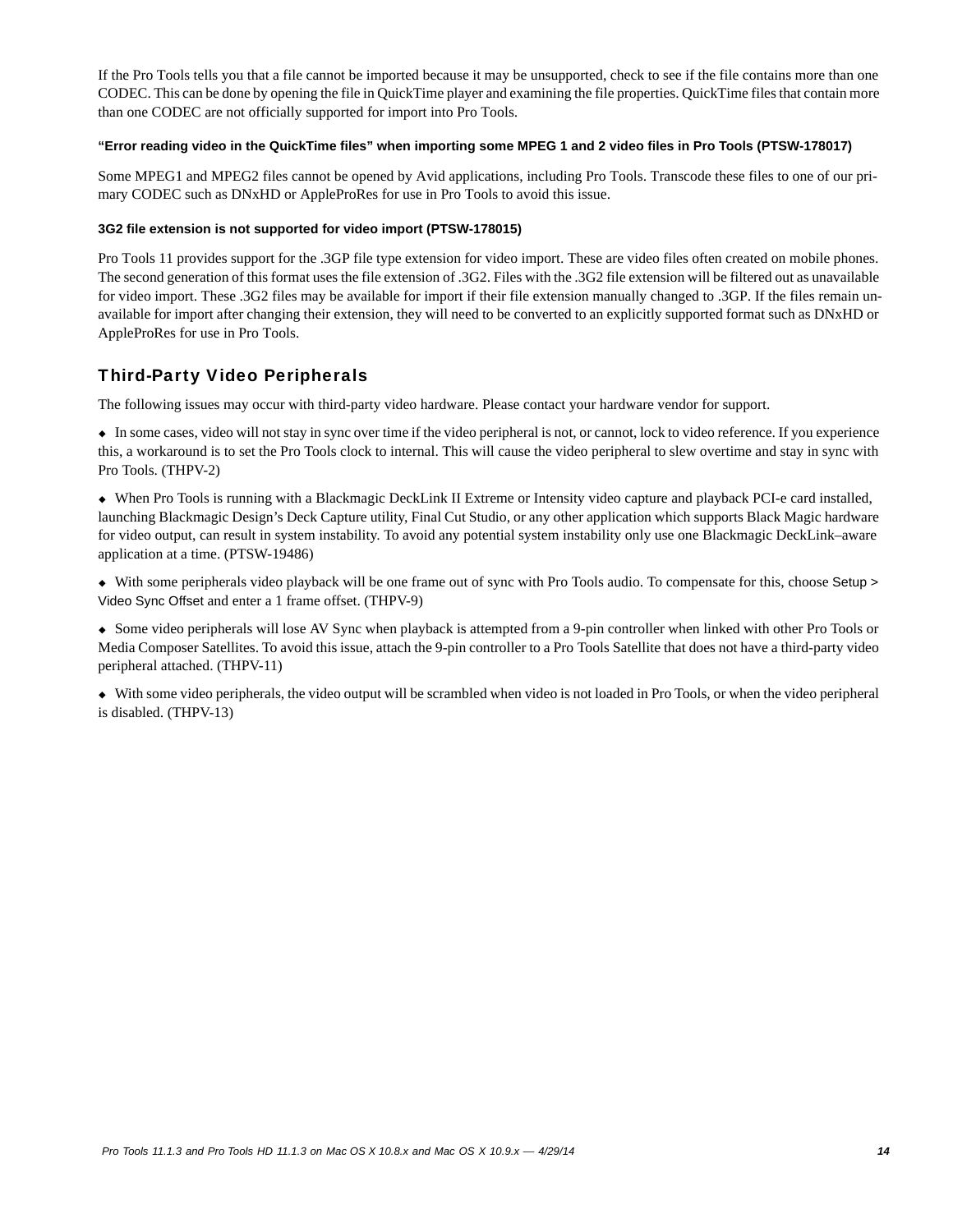If the Pro Tools tells you that a file cannot be imported because it may be unsupported, check to see if the file contains more than one CODEC. This can be done by opening the file in QuickTime player and examining the file properties. QuickTime files that contain more than one CODEC are not officially supported for import into Pro Tools.

### **"Error reading video in the QuickTime files" when importing some MPEG 1 and 2 video files in Pro Tools (PTSW-178017)**

Some MPEG1 and MPEG2 files cannot be opened by Avid applications, including Pro Tools. Transcode these files to one of our primary CODEC such as DNxHD or AppleProRes for use in Pro Tools to avoid this issue.

### **3G2 file extension is not supported for video import (PTSW-178015)**

Pro Tools 11 provides support for the .3GP file type extension for video import. These are video files often created on mobile phones. The second generation of this format uses the file extension of .3G2. Files with the .3G2 file extension will be filtered out as unavailable for video import. These .3G2 files may be available for import if their file extension manually changed to .3GP. If the files remain unavailable for import after changing their extension, they will need to be converted to an explicitly supported format such as DNxHD or AppleProRes for use in Pro Tools.

# Third-Party Video Peripherals

The following issues may occur with third-party video hardware. Please contact your hardware vendor for support.

 In some cases, video will not stay in sync over time if the video peripheral is not, or cannot, lock to video reference. If you experience this, a workaround is to set the Pro Tools clock to internal. This will cause the video peripheral to slew overtime and stay in sync with Pro Tools. (THPV-2)

 When Pro Tools is running with a Blackmagic DeckLink II Extreme or Intensity video capture and playback PCI-e card installed, launching Blackmagic Design's Deck Capture utility, Final Cut Studio, or any other application which supports Black Magic hardware for video output, can result in system instability. To avoid any potential system instability only use one Blackmagic DeckLink–aware application at a time. (PTSW-19486)

 With some peripherals video playback will be one frame out of sync with Pro Tools audio. To compensate for this, choose Setup > Video Sync Offset and enter a 1 frame offset. (THPV-9)

 Some video peripherals will lose AV Sync when playback is attempted from a 9-pin controller when linked with other Pro Tools or Media Composer Satellites. To avoid this issue, attach the 9-pin controller to a Pro Tools Satellite that does not have a third-party video peripheral attached. (THPV-11)

 With some video peripherals, the video output will be scrambled when video is not loaded in Pro Tools, or when the video peripheral is disabled. (THPV-13)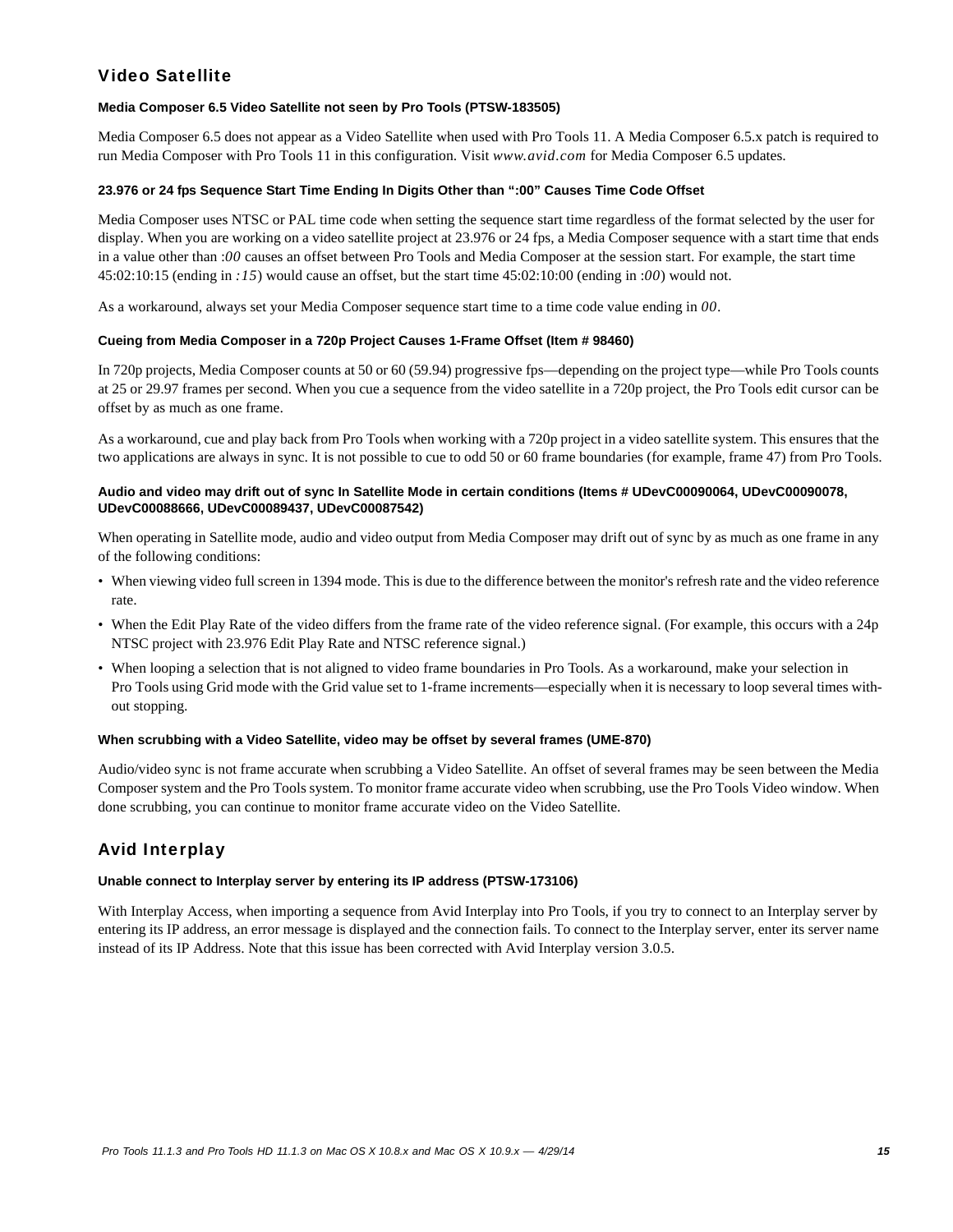# Video Satellite

### **Media Composer 6.5 Video Satellite not seen by Pro Tools (PTSW-183505)**

Media Composer 6.5 does not appear as a Video Satellite when used with Pro Tools 11. A Media Composer 6.5.x patch is required to run Media Composer with Pro Tools 11 in this configuration. Visit *www.avid.com* for Media Composer 6.5 updates.

### **23.976 or 24 fps Sequence Start Time Ending In Digits Other than ":00" Causes Time Code Offset**

Media Composer uses NTSC or PAL time code when setting the sequence start time regardless of the format selected by the user for display. When you are working on a video satellite project at 23.976 or 24 fps, a Media Composer sequence with a start time that ends in a value other than :*00* causes an offset between Pro Tools and Media Composer at the session start. For example, the start time 45:02:10:15 (ending in *:15*) would cause an offset, but the start time 45:02:10:00 (ending in :*00*) would not.

As a workaround, always set your Media Composer sequence start time to a time code value ending in *00*.

### **Cueing from Media Composer in a 720p Project Causes 1-Frame Offset (Item # 98460)**

In 720p projects, Media Composer counts at 50 or 60 (59.94) progressive fps—depending on the project type—while Pro Tools counts at 25 or 29.97 frames per second. When you cue a sequence from the video satellite in a 720p project, the Pro Tools edit cursor can be offset by as much as one frame.

As a workaround, cue and play back from Pro Tools when working with a 720p project in a video satellite system. This ensures that the two applications are always in sync. It is not possible to cue to odd 50 or 60 frame boundaries (for example, frame 47) from Pro Tools.

### **Audio and video may drift out of sync In Satellite Mode in certain conditions (Items # UDevC00090064, UDevC00090078, UDevC00088666, UDevC00089437, UDevC00087542)**

When operating in Satellite mode, audio and video output from Media Composer may drift out of sync by as much as one frame in any of the following conditions:

- When viewing video full screen in 1394 mode. This is due to the difference between the monitor's refresh rate and the video reference rate.
- When the Edit Play Rate of the video differs from the frame rate of the video reference signal. (For example, this occurs with a 24p NTSC project with 23.976 Edit Play Rate and NTSC reference signal.)
- When looping a selection that is not aligned to video frame boundaries in Pro Tools. As a workaround, make your selection in Pro Tools using Grid mode with the Grid value set to 1-frame increments—especially when it is necessary to loop several times without stopping.

#### **When scrubbing with a Video Satellite, video may be offset by several frames (UME-870)**

Audio/video sync is not frame accurate when scrubbing a Video Satellite. An offset of several frames may be seen between the Media Composer system and the Pro Tools system. To monitor frame accurate video when scrubbing, use the Pro Tools Video window. When done scrubbing, you can continue to monitor frame accurate video on the Video Satellite.

# Avid Interplay

#### **Unable connect to Interplay server by entering its IP address (PTSW-173106)**

With Interplay Access, when importing a sequence from Avid Interplay into Pro Tools, if you try to connect to an Interplay server by entering its IP address, an error message is displayed and the connection fails. To connect to the Interplay server, enter its server name instead of its IP Address. Note that this issue has been corrected with Avid Interplay version 3.0.5.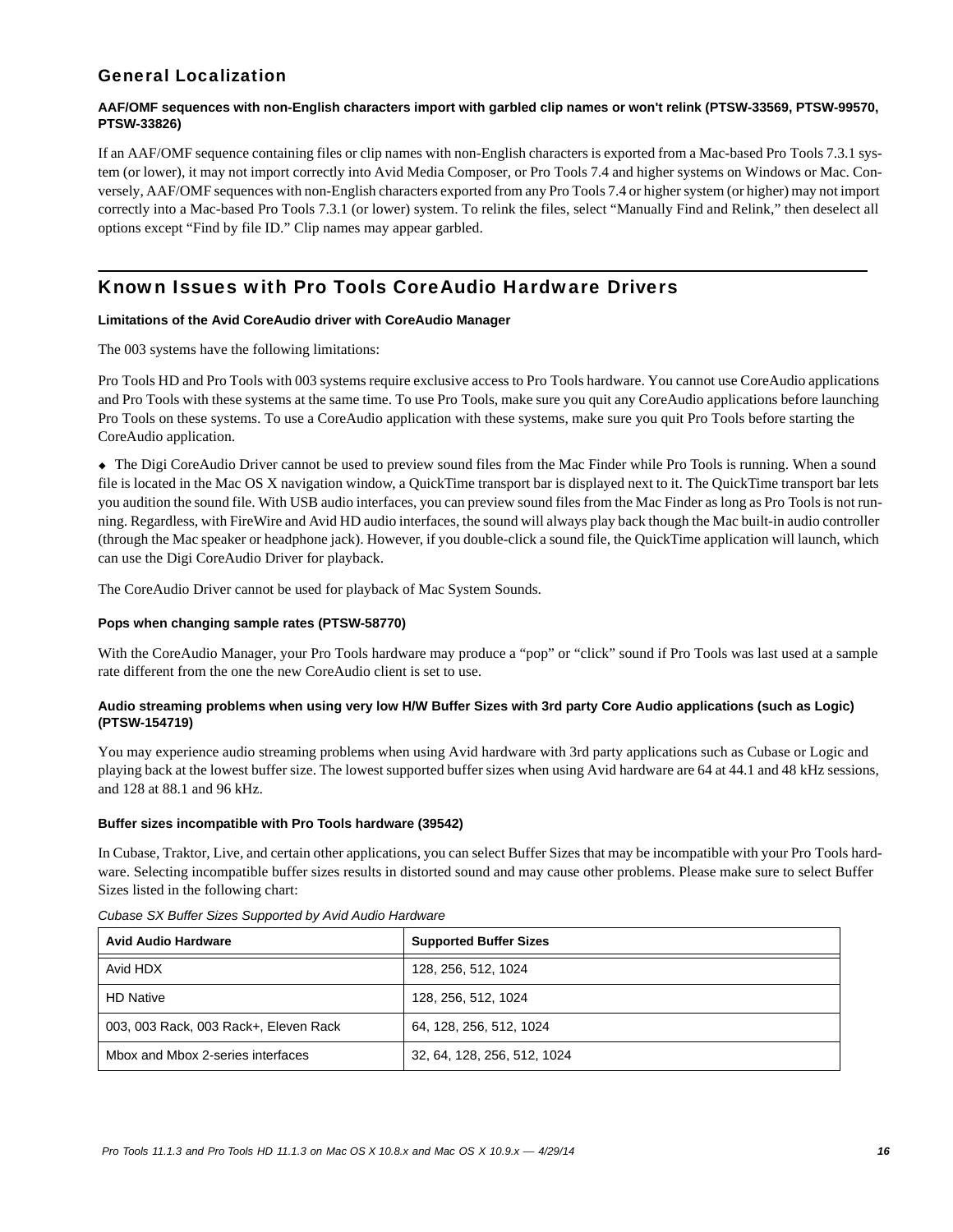# General Localization

### **AAF/OMF sequences with non-English characters import with garbled clip names or won't relink (PTSW-33569, PTSW-99570, PTSW-33826)**

If an AAF/OMF sequence containing files or clip names with non-English characters is exported from a Mac-based Pro Tools 7.3.1 system (or lower), it may not import correctly into Avid Media Composer, or Pro Tools 7.4 and higher systems on Windows or Mac. Conversely, AAF/OMF sequences with non-English characters exported from any Pro Tools 7.4 or higher system (or higher) may not import correctly into a Mac-based Pro Tools 7.3.1 (or lower) system. To relink the files, select "Manually Find and Relink," then deselect all options except "Find by file ID." Clip names may appear garbled.

# Known Issues with Pro Tools CoreAudio Hardware Drivers

### **Limitations of the Avid CoreAudio driver with CoreAudio Manager**

The 003 systems have the following limitations:

Pro Tools HD and Pro Tools with 003 systems require exclusive access to Pro Tools hardware. You cannot use CoreAudio applications and Pro Tools with these systems at the same time. To use Pro Tools, make sure you quit any CoreAudio applications before launching Pro Tools on these systems. To use a CoreAudio application with these systems, make sure you quit Pro Tools before starting the CoreAudio application.

 The Digi CoreAudio Driver cannot be used to preview sound files from the Mac Finder while Pro Tools is running. When a sound file is located in the Mac OS X navigation window, a QuickTime transport bar is displayed next to it. The QuickTime transport bar lets you audition the sound file. With USB audio interfaces, you can preview sound files from the Mac Finder as long as Pro Tools is not running. Regardless, with FireWire and Avid HD audio interfaces, the sound will always play back though the Mac built-in audio controller (through the Mac speaker or headphone jack). However, if you double-click a sound file, the QuickTime application will launch, which can use the Digi CoreAudio Driver for playback.

The CoreAudio Driver cannot be used for playback of Mac System Sounds.

### **Pops when changing sample rates (PTSW-58770)**

With the CoreAudio Manager, your Pro Tools hardware may produce a "pop" or "click" sound if Pro Tools was last used at a sample rate different from the one the new CoreAudio client is set to use.

# **Audio streaming problems when using very low H/W Buffer Sizes with 3rd party Core Audio applications (such as Logic) (PTSW-154719)**

You may experience audio streaming problems when using Avid hardware with 3rd party applications such as Cubase or Logic and playing back at the lowest buffer size. The lowest supported buffer sizes when using Avid hardware are 64 at 44.1 and 48 kHz sessions, and 128 at 88.1 and 96 kHz.

# **Buffer sizes incompatible with Pro Tools hardware (39542)**

In Cubase, Traktor, Live, and certain other applications, you can select Buffer Sizes that may be incompatible with your Pro Tools hardware. Selecting incompatible buffer sizes results in distorted sound and may cause other problems. Please make sure to select Buffer Sizes listed in the following chart:

| <b>Avid Audio Hardware</b>            | <b>Supported Buffer Sizes</b> |
|---------------------------------------|-------------------------------|
| Avid HDX                              | 128, 256, 512, 1024           |
| <b>HD Native</b>                      | 128, 256, 512, 1024           |
| 003, 003 Rack, 003 Rack+, Eleven Rack | 64, 128, 256, 512, 1024       |
| Mbox and Mbox 2-series interfaces     | 32, 64, 128, 256, 512, 1024   |

*Cubase SX Buffer Sizes Supported by Avid Audio Hardware*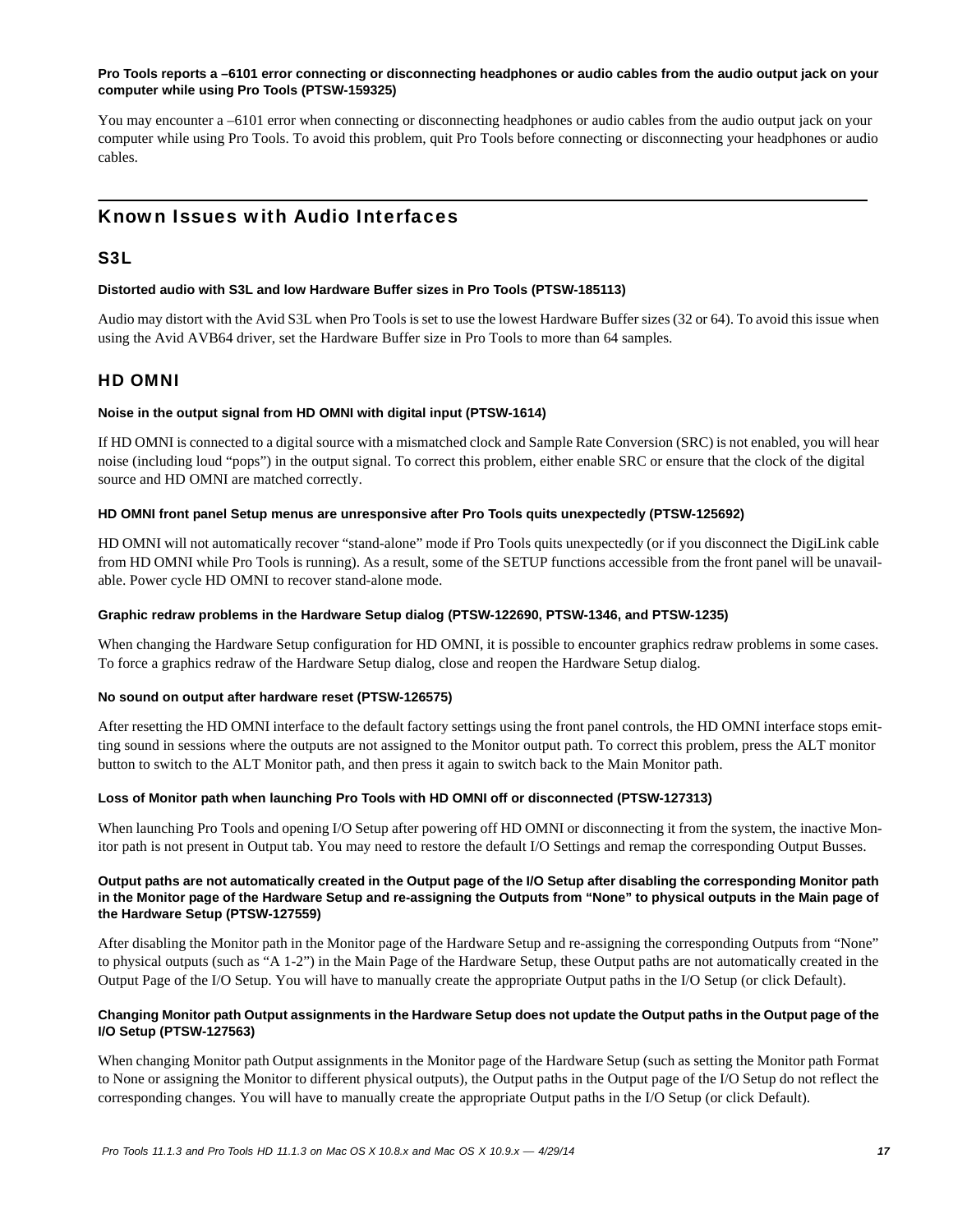# **Pro Tools reports a –6101 error connecting or disconnecting headphones or audio cables from the audio output jack on your computer while using Pro Tools (PTSW-159325)**

You may encounter a –6101 error when connecting or disconnecting headphones or audio cables from the audio output jack on your computer while using Pro Tools. To avoid this problem, quit Pro Tools before connecting or disconnecting your headphones or audio cables.

# Known Issues with Audio Interfaces

# S3L

# **Distorted audio with S3L and low Hardware Buffer sizes in Pro Tools (PTSW-185113)**

Audio may distort with the Avid S3L when Pro Tools is set to use the lowest Hardware Buffer sizes (32 or 64). To avoid this issue when using the Avid AVB64 driver, set the Hardware Buffer size in Pro Tools to more than 64 samples.

# HD OMNI

# **Noise in the output signal from HD OMNI with digital input (PTSW-1614)**

If HD OMNI is connected to a digital source with a mismatched clock and Sample Rate Conversion (SRC) is not enabled, you will hear noise (including loud "pops") in the output signal. To correct this problem, either enable SRC or ensure that the clock of the digital source and HD OMNI are matched correctly.

# **HD OMNI front panel Setup menus are unresponsive after Pro Tools quits unexpectedly (PTSW-125692)**

HD OMNI will not automatically recover "stand-alone" mode if Pro Tools quits unexpectedly (or if you disconnect the DigiLink cable from HD OMNI while Pro Tools is running). As a result, some of the SETUP functions accessible from the front panel will be unavailable. Power cycle HD OMNI to recover stand-alone mode.

### **Graphic redraw problems in the Hardware Setup dialog (PTSW-122690, PTSW-1346, and PTSW-1235)**

When changing the Hardware Setup configuration for HD OMNI, it is possible to encounter graphics redraw problems in some cases. To force a graphics redraw of the Hardware Setup dialog, close and reopen the Hardware Setup dialog.

# **No sound on output after hardware reset (PTSW-126575)**

After resetting the HD OMNI interface to the default factory settings using the front panel controls, the HD OMNI interface stops emitting sound in sessions where the outputs are not assigned to the Monitor output path. To correct this problem, press the ALT monitor button to switch to the ALT Monitor path, and then press it again to switch back to the Main Monitor path.

# **Loss of Monitor path when launching Pro Tools with HD OMNI off or disconnected (PTSW-127313)**

When launching Pro Tools and opening I/O Setup after powering off HD OMNI or disconnecting it from the system, the inactive Monitor path is not present in Output tab. You may need to restore the default I/O Settings and remap the corresponding Output Busses.

### **Output paths are not automatically created in the Output page of the I/O Setup after disabling the corresponding Monitor path in the Monitor page of the Hardware Setup and re-assigning the Outputs from "None" to physical outputs in the Main page of the Hardware Setup (PTSW-127559)**

After disabling the Monitor path in the Monitor page of the Hardware Setup and re-assigning the corresponding Outputs from "None" to physical outputs (such as "A 1-2") in the Main Page of the Hardware Setup, these Output paths are not automatically created in the Output Page of the I/O Setup. You will have to manually create the appropriate Output paths in the I/O Setup (or click Default).

# **Changing Monitor path Output assignments in the Hardware Setup does not update the Output paths in the Output page of the I/O Setup (PTSW-127563)**

When changing Monitor path Output assignments in the Monitor page of the Hardware Setup (such as setting the Monitor path Format to None or assigning the Monitor to different physical outputs), the Output paths in the Output page of the I/O Setup do not reflect the corresponding changes. You will have to manually create the appropriate Output paths in the I/O Setup (or click Default).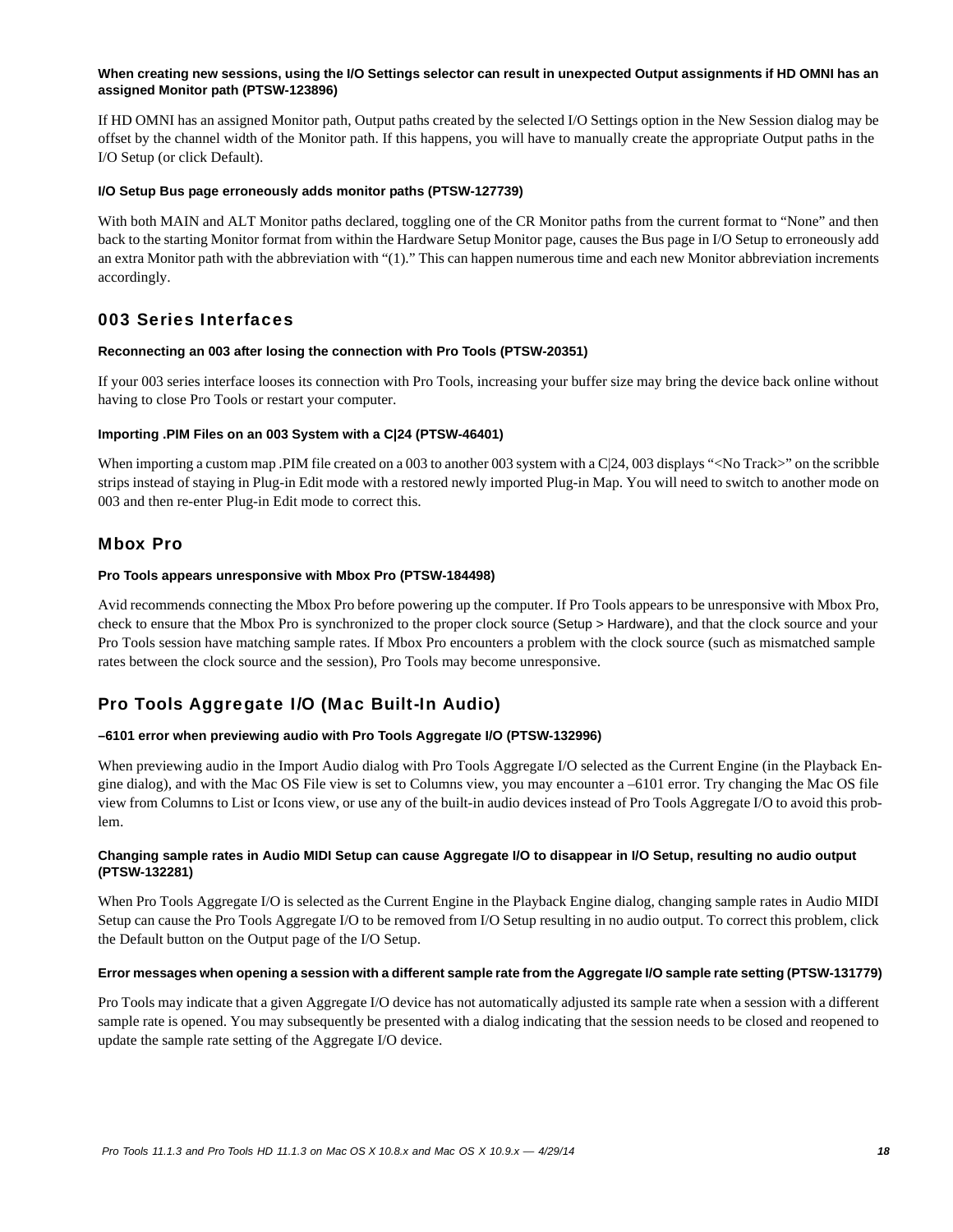### **When creating new sessions, using the I/O Settings selector can result in unexpected Output assignments if HD OMNI has an assigned Monitor path (PTSW-123896)**

If HD OMNI has an assigned Monitor path, Output paths created by the selected I/O Settings option in the New Session dialog may be offset by the channel width of the Monitor path. If this happens, you will have to manually create the appropriate Output paths in the I/O Setup (or click Default).

### **I/O Setup Bus page erroneously adds monitor paths (PTSW-127739)**

With both MAIN and ALT Monitor paths declared, toggling one of the CR Monitor paths from the current format to "None" and then back to the starting Monitor format from within the Hardware Setup Monitor page, causes the Bus page in I/O Setup to erroneously add an extra Monitor path with the abbreviation with "(1)." This can happen numerous time and each new Monitor abbreviation increments accordingly.

# 003 Series Interfaces

# **Reconnecting an 003 after losing the connection with Pro Tools (PTSW-20351)**

If your 003 series interface looses its connection with Pro Tools, increasing your buffer size may bring the device back online without having to close Pro Tools or restart your computer.

# **Importing .PIM Files on an 003 System with a C|24 (PTSW-46401)**

When importing a custom map .PIM file created on a 003 to another 003 system with a C|24, 003 displays "<No Track>" on the scribble strips instead of staying in Plug-in Edit mode with a restored newly imported Plug-in Map. You will need to switch to another mode on 003 and then re-enter Plug-in Edit mode to correct this.

# Mbox Pro

### **Pro Tools appears unresponsive with Mbox Pro (PTSW-184498)**

Avid recommends connecting the Mbox Pro before powering up the computer. If Pro Tools appears to be unresponsive with Mbox Pro, check to ensure that the Mbox Pro is synchronized to the proper clock source (Setup > Hardware), and that the clock source and your Pro Tools session have matching sample rates. If Mbox Pro encounters a problem with the clock source (such as mismatched sample rates between the clock source and the session), Pro Tools may become unresponsive.

# Pro Tools Aggregate I/O (Mac Built-In Audio)

# **–6101 error when previewing audio with Pro Tools Aggregate I/O (PTSW-132996)**

When previewing audio in the Import Audio dialog with Pro Tools Aggregate I/O selected as the Current Engine (in the Playback Engine dialog), and with the Mac OS File view is set to Columns view, you may encounter a –6101 error. Try changing the Mac OS file view from Columns to List or Icons view, or use any of the built-in audio devices instead of Pro Tools Aggregate I/O to avoid this problem.

### **Changing sample rates in Audio MIDI Setup can cause Aggregate I/O to disappear in I/O Setup, resulting no audio output (PTSW-132281)**

When Pro Tools Aggregate I/O is selected as the Current Engine in the Playback Engine dialog, changing sample rates in Audio MIDI Setup can cause the Pro Tools Aggregate I/O to be removed from I/O Setup resulting in no audio output. To correct this problem, click the Default button on the Output page of the I/O Setup.

#### **Error messages when opening a session with a different sample rate from the Aggregate I/O sample rate setting (PTSW-131779)**

Pro Tools may indicate that a given Aggregate I/O device has not automatically adjusted its sample rate when a session with a different sample rate is opened. You may subsequently be presented with a dialog indicating that the session needs to be closed and reopened to update the sample rate setting of the Aggregate I/O device.